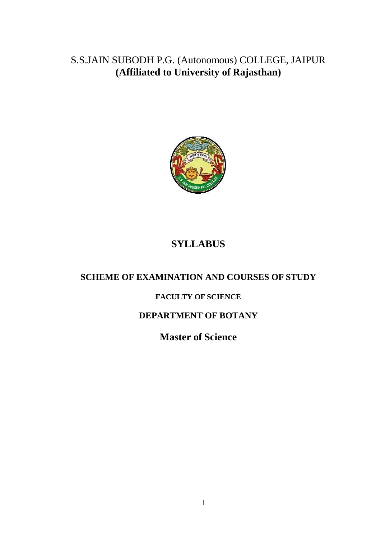S.S.JAIN SUBODH P.G. (Autonomous) COLLEGE, JAIPUR **(Affiliated to University of Rajasthan)**



# **SYLLABUS**

# **SCHEME OF EXAMINATION AND COURSES OF STUDY**

# **FACULTY OF SCIENCE**

# **DEPARTMENT OF BOTANY**

**Master of Science**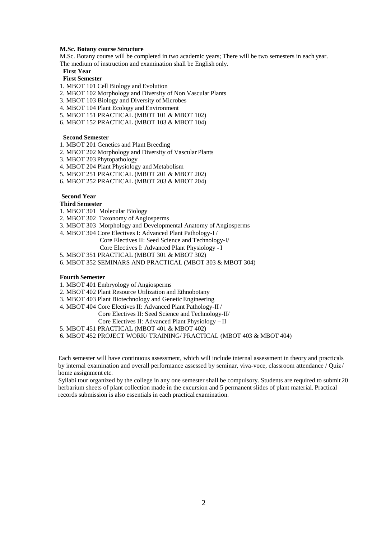#### **M.Sc. Botany course Structure**

M.Sc. Botany course will be completed in two academic years; There will be two semesters in each year. The medium of instruction and examination shall be English only.

#### **First Year**

# **First Semester**

- 1. MBOT 101 Cell Biology and Evolution
- 2. MBOT 102 Morphology and Diversity of Non Vascular Plants
- 3. MBOT 103 Biology and Diversity of Microbes
- 4. MBOT 104 Plant Ecology and Environment
- 5. MBOT 151 PRACTICAL (MBOT 101 & MBOT 102)
- 6. MBOT 152 PRACTICAL (MBOT 103 & MBOT 104)

### **Second Semester**

- 1. MBOT 201 Genetics and Plant Breeding
- 2. MBOT 202 Morphology and Diversity of Vascular Plants
- 3. MBOT 203 Phytopathology
- 4. MBOT 204 Plant Physiology and Metabolism
- 5. MBOT 251 PRACTICAL (MBOT 201 & MBOT 202)
- 6. MBOT 252 PRACTICAL (MBOT 203 & MBOT 204)

## **Second Year**

## **Third Semester**

- 1. MBOT 301 Molecular Biology
- 2. MBOT 302 Taxonomy of Angiosperms
- 3. MBOT 303 Morphology and Developmental Anatomy of Angiosperms
- 4. MBOT 304 Core Electives I: Advanced Plant Pathology-I /
	- Core Electives II: Seed Science and Technology-I/
		- Core Electives I: Advanced Plant Physiology I
- 5. MBOT 351 PRACTICAL (MBOT 301 & MBOT 302)
- 6. MBOT 352 SEMINARS AND PRACTICAL (MBOT 303 & MBOT 304)

## **Fourth Semester**

- 1. MBOT 401 Embryology of Angiosperms
- 2. MBOT 402 Plant Resource Utilization and Ethnobotany
- 3. MBOT 403 Plant Biotechnology and Genetic Engineering
- 4. MBOT 404 Core Electives II: Advanced Plant Pathology-II /
	- Core Electives II: Seed Science and Technology-II/
	- Core Electives II: Advanced Plant Physiology II
- 5. MBOT 451 PRACTICAL (MBOT 401 & MBOT 402)
- 6. MBOT 452 PROJECT WORK/ TRAINING/ PRACTICAL (MBOT 403 & MBOT 404)

Each semester will have continuous assessment, which will include internal assessment in theory and practicals by internal examination and overall performance assessed by seminar, viva-voce, classroom attendance / Quiz/ home assignment etc.

Syllabi tour organized by the college in any one semester shall be compulsory. Students are required to submit 20 herbarium sheets of plant collection made in the excursion and 5 permanent slides of plant material. Practical records submission is also essentials in each practical examination.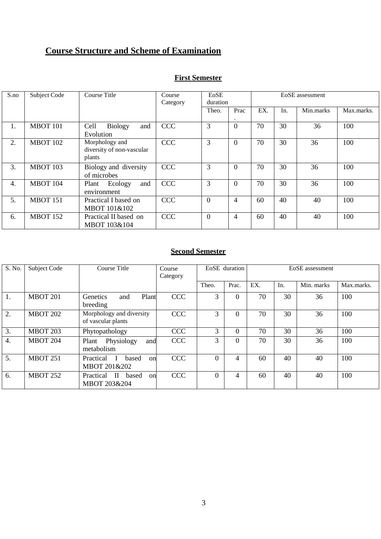# **Course Structure and Scheme of Examination**

| <b>First Semester</b> |
|-----------------------|
|                       |

| S.no | Subject Code    | Course Title                                          | Course<br>Category | EoSE<br>duration |                | EoSE assessment |     |           |            |  |
|------|-----------------|-------------------------------------------------------|--------------------|------------------|----------------|-----------------|-----|-----------|------------|--|
|      |                 |                                                       |                    | Theo.            | Prac           | EX.             | In. | Min.marks | Max.marks. |  |
| 1.   | <b>MBOT 101</b> | Cell<br>Biology<br>and<br>Evolution                   | <b>CCC</b>         | $\overline{3}$   | $\mathbf{0}$   | 70              | 30  | 36        | 100        |  |
| 2.   | <b>MBOT 102</b> | Morphology and<br>diversity of non-vascular<br>plants | <b>CCC</b>         | 3                | $\overline{0}$ | 70              | 30  | 36        | 100        |  |
| 3.   | <b>MBOT 103</b> | Biology and diversity<br>of microbes                  | <b>CCC</b>         | 3                | $\overline{0}$ | 70              | 30  | 36        | 100        |  |
| 4.   | <b>MBOT 104</b> | Ecology<br>and<br>Plant<br>environment                | <b>CCC</b>         | 3                | $\overline{0}$ | 70              | 30  | 36        | 100        |  |
| 5.   | <b>MBOT 151</b> | Practical I based on<br>MBOT 101&102                  | <b>CCC</b>         | $\theta$         | $\overline{4}$ | 60              | 40  | 40        | 100        |  |
| 6.   | <b>MBOT 152</b> | Practical II based on<br>MBOT 103&104                 | <b>CCC</b>         | $\Omega$         | $\overline{4}$ | 60              | 40  | 40        | 100        |  |

# **Second Semester**

| S. No.           | Subject Code    | Course Title                                             | Course<br>Category | EoSE duration |          | EoSE assessment |     |            |            |
|------------------|-----------------|----------------------------------------------------------|--------------------|---------------|----------|-----------------|-----|------------|------------|
|                  |                 |                                                          |                    | Theo.         | Prac.    | EX.             | In. | Min. marks | Max.marks. |
| 1.               | <b>MBOT 201</b> | Plant<br><b>Genetics</b><br>and<br>breeding              | <b>CCC</b>         | 3             | $\Omega$ | 70              | 30  | 36         | 100        |
| 2.               | <b>MBOT 202</b> | Morphology and diversity<br>of vascular plants           | <b>CCC</b>         | 3             | $\Omega$ | 70              | 30  | 36         | 100        |
| 3.               | <b>MBOT 203</b> | Phytopathology                                           | <b>CCC</b>         | 3             | $\theta$ | 70              | 30  | 36         | 100        |
| $\overline{4}$ . | <b>MBOT 204</b> | Physiology<br>Plant<br>and<br>metabolism                 | <b>CCC</b>         | 3             | $\Omega$ | 70              | 30  | 36         | 100        |
| 5.               | <b>MBOT 251</b> | Practical<br>based<br>$\mathbf{I}$<br>on<br>MBOT 201&202 | <b>CCC</b>         | $\Omega$      | 4        | 60              | 40  | 40         | 100        |
| 6.               | <b>MBOT 252</b> | $\mathbf{H}$<br>Practical<br>based<br>on<br>MBOT 203&204 | <b>CCC</b>         | $\Omega$      | 4        | 60              | 40  | 40         | 100        |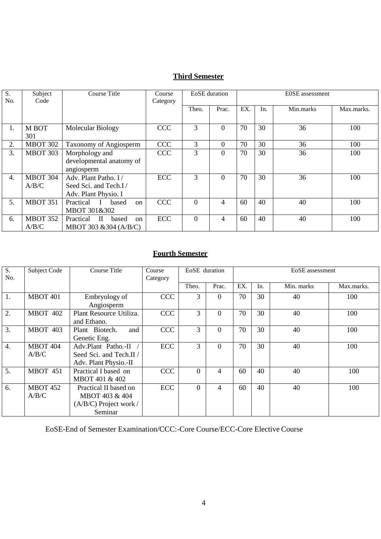# **Third Semester**

| S.<br>No. | Subject<br>Code          | Course Title                                                          | Course<br>Category |          | <b>EoSE</b> duration | <b>EOSE</b> assessment |     |           |            |
|-----------|--------------------------|-----------------------------------------------------------------------|--------------------|----------|----------------------|------------------------|-----|-----------|------------|
|           |                          |                                                                       |                    | Theo.    | Prac.                | EX.                    | In. | Min.marks | Max.marks. |
| 1.        | M BOT<br>301             | Molecular Biology                                                     | <b>CCC</b>         | 3        | $\Omega$             | 70                     | 30  | 36        | 100        |
| 2.        | <b>MBOT 302</b>          | <b>Taxonomy of Angiosperm</b>                                         | <b>CCC</b>         | 3        | $\Omega$             | 70                     | 30  | 36        | 100        |
| 3.        | <b>MBOT 303</b>          | Morphology and<br>developmental anatomy of<br>angiosperm              | <b>CCC</b>         | 3        | $\theta$             | 70                     | 30  | 36        | 100        |
| 4.        | <b>MBOT 304</b><br>A/B/C | Adv. Plant Patho. I/<br>Seed Sci. and Tech.I/<br>Adv. Plant Physio. I | <b>ECC</b>         | 3        | $\Omega$             | 70                     | 30  | 36        | 100        |
| 5.        | <b>MBOT 351</b>          | Practical<br>based<br><sub>on</sub><br>MBOT 301&302                   | <b>CCC</b>         | $\theta$ | 4                    | 60                     | 40  | 40        | 100        |
| 6.        | <b>MBOT 352</b><br>A/B/C | $\Pi$<br><b>Practical</b><br>based<br>on<br>MBOT 303 & 304 (A/B/C)    | ECC                | $\Omega$ | 4                    | 60                     | 40  | 40        | 100        |

# **Fourth Semester**

| $\overline{S}$ .<br>No. | Subject Code             | Course Title                                                                   | Course<br>Category | EoSE duration |       |     |     | EoSE assessment |            |
|-------------------------|--------------------------|--------------------------------------------------------------------------------|--------------------|---------------|-------|-----|-----|-----------------|------------|
|                         |                          |                                                                                |                    | Theo.         | Prac. | EX. | In. | Min. marks      | Max.marks. |
| 1.                      | <b>MBOT 401</b>          | Embryology of<br>Angiosperm                                                    | <b>CCC</b>         | 3             | 0     | 70  | 30  | 40              | 100        |
| 2.                      | <b>MBOT 402</b>          | Plant Resource Utiliza.<br>and Ethano.                                         | <b>CCC</b>         | 3             | 0     | 70  | 30  | 40              | 100        |
| 3.                      | <b>MBOT 403</b>          | Plant Biotech.<br>and<br>Genetic Eng.                                          | <b>CCC</b>         | 3             | 0     | 70  | 30  | 40              | 100        |
| $\overline{4}$ .        | <b>MBOT 404</b><br>A/B/C | Adv.Plant Patho.-II<br>Seed Sci. and Tech.II /<br>Adv. Plant Physio.-II        | <b>ECC</b>         | 3             | 0     | 70  | 30  | 40              | 100        |
| 5.                      | <b>MBOT 451</b>          | Practical I based on<br><b>MBOT 401 &amp; 402</b>                              | <b>CCC</b>         | $\Omega$      | 4     | 60  | 40  | 40              | 100        |
| 6.                      | <b>MBOT 452</b><br>A/B/C | Practical II based on<br>MBOT 403 & 404<br>$(A/B/C)$ Project work /<br>Seminar | <b>ECC</b>         | $\Omega$      | 4     | 60  | 40  | 40              | 100        |

EoSE-End of Semester Examination/CCC:-Core Course/ECC-Core Elective Course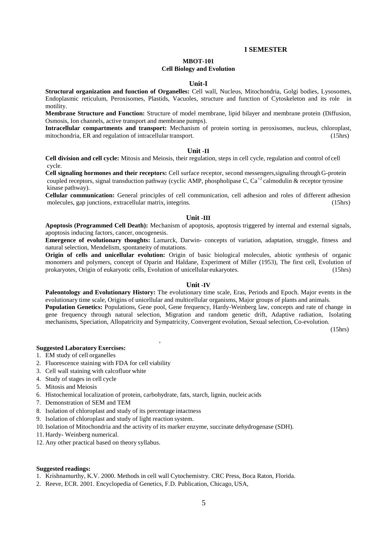## **I SEMESTER**

## **MBOT-101**

### **Cell Biology and Evolution**

## **Unit-I**

**Structural organization and function of Organelles:** Cell wall, Nucleus, Mitochondria, Golgi bodies, Lysosomes, Endoplasmic reticulum, Peroxisomes, Plastids, Vacuoles, structure and function of Cytoskeleton and its role in motility.

**Membrane Structure and Function:** Structure of model membrane, lipid bilayer and membrane protein (Diffusion, Osmosis, Ion channels, active transport and membrane pumps).

**Intracellular compartments and transport:** Mechanism of protein sorting in peroxisomes, nucleus, chloroplast, mitochondria, ER and regulation of intracellular transport. (15hrs)

## **Unit -II**

**Cell division and cell cycle:** Mitosis and Meiosis, their regulation, steps in cell cycle, regulation and control of cell cycle.

**Cell signaling hormones and their receptors:** Cell surface receptor, second messengers,signaling through G-protein coupled receptors, signal transduction pathway (cyclic AMP, phospholipase C, Ca<sup>+2</sup> calmodulin & receptor tyrosine kinase pathway).

**Cellular communication:** General principles of cell communication, cell adhesion and roles of different adhesion molecules, gap junctions, extracellular matrix, integrins. (15hrs) molecules, gap junctions, extracellular matrix, integrins.

## **Unit -III**

**Apoptosis (Programmed Cell Death):** Mechanism of apoptosis, apoptosis triggered by internal and external signals, apoptosis inducing factors, cancer, oncogenesis.

**Emergence of evolutionary thoughts:** Lamarck, Darwin- concepts of variation, adaptation, struggle, fitness and natural selection, Mendelism, spontaneity of mutations.

**Origin of cells and unicellular evolution:** Origin of basic biological molecules, abiotic synthesis of organic monomers and polymers, concept of Oparin and Haldane, Experiment of Miller (1953), The first cell, Evolution of prokaryotes, Origin of eukaryotic cells, Evolution of unicellular eukaryotes. (15hrs)

## **Unit -IV**

**Paleontology and Evolutionary History:** The evolutionary time scale, Eras, Periods and Epoch. Major events in the evolutionary time scale, Origins of unicellular and multicellular organisms, Major groups of plants and animals.

**Population Genetics:** Populations, Gene pool, Gene frequency, Hardy-Weinberg law, concepts and rate of change in gene frequency through natural selection, Migration and random genetic drift, Adaptive radiation, Isolating mechanisms, Speciation, Allopatricity and Sympatricity, Convergent evolution, Sexual selection, Co-evolution.

(15hrs)

# **Suggested Laboratory Exercises:**

- 1. EM study of cell organelles
- 2. Fluorescence staining with FDA for cell viability
- 3. Cell wall staining with calcofluor white
- 4. Study of stages in cell cycle
- 5. Mitosis and Meiosis
- 6. Histochemical localization of protein, carbohydrate, fats, starch, lignin, nucleic acids

,

- 7. Demonstration of SEM and TEM
- 8. Isolation of chloroplast and study of its percentage intactness
- 9. Isolation of chloroplast and study of light reaction system.
- 10. Isolation of Mitochondria and the activity of its marker enzyme, succinate dehydrogenase (SDH).
- 11. Hardy- Weinberg numerical.
- 12. Any other practical based on theory syllabus.

- 1. Krishnamurthy, K.V. 2000. Methods in cell wall Cytochemistry. CRC Press, Boca Raton, Florida.
- 2. Reeve, ECR. 2001. Encyclopedia of Genetics, F.D. Publication, Chicago, USA,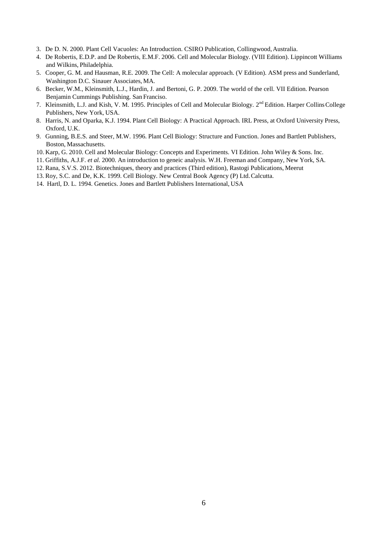- 3. De D. N. 2000. Plant Cell Vacuoles: An Introduction. CSIRO Publication, Collingwood,Australia.
- 4. De Robertis, E.D.P. and De Robertis, E.M.F. 2006. Cell and Molecular Biology. (VIII Edition). Lippincott Williams and Wilkins, Philadelphia.
- 5. Cooper, G. M. and Hausman, R.E. 2009. The Cell: A molecular approach. (V Edition). ASM press and Sunderland, Washington D.C. Sinauer Associates, MA.
- 6. Becker, W.M., Kleinsmith, L.J., Hardin, J. and Bertoni, G. P. 2009. The world of the cell. VII Edition. Pearson Benjamin Cummings Publishing. San Franciso.
- 7. Kleinsmith, L.J. and Kish, V. M. 1995. Principles of Cell and Molecular Biology. 2<sup>nd</sup> Edition. Harper Collins College Publishers, New York, USA.
- 8. Harris, N. and Oparka, K.J. 1994. Plant Cell Biology: A Practical Approach. IRL Press, at Oxford University Press, Oxford, U.K.
- 9. Gunning, B.E.S. and Steer, M.W. 1996. Plant Cell Biology: Structure and Function. Jones and Bartlett Publishers, Boston, Massachusetts.
- 10. Karp, G. 2010. Cell and Molecular Biology: Concepts and Experiments. VI Edition. John Wiley & Sons. Inc.
- 11. Griffiths, A.J.F. *et al.* 2000. An introduction to geneic analysis. W.H. Freeman and Company, New York, SA.
- 12. Rana, S.V.S. 2012. Biotechniques, theory and practices (Third edition), Rastogi Publications, Meerut
- 13. Roy, S.C. and De, K.K. 1999. Cell Biology. New Central Book Agency (P) Ltd.Calcutta.
- 14. Hartl, D. L. 1994. Genetics. Jones and Bartlett Publishers International, USA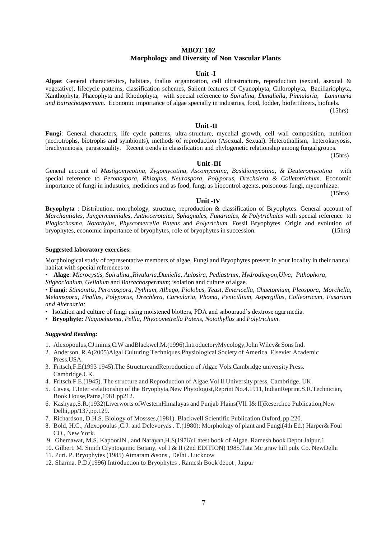# **MBOT 102 Morphology and Diversity of Non Vascular Plants**

#### **Unit -I**

**Algae**: General characterstics, habitats, thallus organization, cell ultrastructure, reproduction (sexual, asexual & vegetative), lifecycle patterns, classification schemes, Salient features of Cyanophyta, Chlorophyta, Bacillariophyta, Xanthophyta, Phaeophyta and Rhodophyta, with special reference to *Spirulina, Dunaliella, Pinnularia, Laminaria and Batrachospermum.* Economic importance of algae specially in industries, food, fodder, biofertilizers, biofuels.

(15hrs)

## **Unit -II**

**Fungi**: General characters, life cycle patterns, ultra-structure, mycelial growth, cell wall composition, nutrition (necrotrophs, biotrophs and symbionts), methods of reproduction (Asexual, Sexual). Heterothallism, heterokaryosis, brachymeiosis, parasexuality. Recent trends in classification and phylogenetic relationship among fungal groups.

(15hrs)

(15hrs)

#### **Unit -III**

General account of *Mastigomycotina, Zygomycotina, Ascomycotina, Basidiomycotina, & Deuteromycotina* with special reference to *Peronospora, Rhizopus, Neurospora, Polyporus, Drechslera & Colletotrichum.* Economic importance of fungi in industries, medicines and as food, fungi as biocontrol agents, poisonous fungi, mycorrhizae.

#### **Unit -IV**

**Bryophyta** : Distribution, morphology, structure, reproduction & classification of Bryophytes. General account of *Marchantiales, Jungermanniales, Anthocerotales, Sphagnales, Funariales, & Polytrichales* with special reference to *Plagiochasma, Notothylus, Physcometrella Patens* and *Polytrichum.* Fossil Bryophytes. Origin and evolution of bryophytes, economic importance of bryophytes, role of bryophytes in succession. (15hrs)

#### **Suggested laboratory exercises:**

Morphological study of representative members of algae, Fungi and Bryophytes present in your locality in their natural habitat with special references to:

• **Alage**: *Microcystis, Spirulina,,Rivularia,Duniella, Aulosira, Pediastrum, Hydrodictyon,Ulva, Pithophora,*

*Stigeoclonium, Gelidium* and *Batrachospermum*; isolation and culture of algae.

• **Fungi**: *Stimonitis, Peronospora, Pythium, Albugo, Piolobus, Yeast, Emericella, Chaetomium, Pleospora, Morchella, Melamspora, Phallus, Polyporus, Drechlera, Curvularia, Phoma, Penicillium, Aspergillus, Colleotricum, Fusarium and Alternaria;*

- Isolation and culture of fungi using moistened blotters, PDA and sabouraud's dextrose agarmedia.
- **Bryophyte:** *Plagiochasma, Pellia*, *Physcometrella Patens, Notothyllus* and *Polytrichum*.

- 1. Alexopoulus,CJ.mims,C.W andBlackwel,M.(1996).IntroductoryMycology,John Wiley& SonsInd.
- 2. Anderson, R.A(2005)Algal Culturing Techniques.Physiological Society of America. Elsevier Academic Press.USA.
- 3. Fritsch,F.E(1993 1945).The StructureandReproduction of Algae Vols.Cambridge university Press. Cambridge.UK.
- 4. Fritsch.F.E.(1945). The structure and Reproduction of Algae.Vol ll.University press, Cambridge. UK.
- 5. Caves, F.Inter -relationship of the Bryophyta,New Phytologist,Reprint No.4.1911,IndianReprint.S.R.Technician, Book House,Patna,1981,pp212.
- 6. Kashyap,S.R.(1932)Liverworts ofWesternHimalayas and Punjab Plains(Vll. I& II)Reserchco Publication,New Delhi,.pp/137,pp.129.
- 7. Richardson, D.H.S. Biology of Mossses,(1981). Blackwell Scientific Publication Oxford, pp.220.
- 8. Bold, H.C., Alexopoulus ,C.J. and Delevoryas . T.(1980): Morphology of plant and Fungi(4th Ed.) Harper& Foul CO., New York.
- 9. Ghemawat, M.S..KapoorJN., and Narayan,H.S(1976):Latest book of Algae. Ramesh book Depot.Jaipur.1
- 10. Gilbert. M. Smith Cryptogamic Botany, vol I & II (2nd EDITION) 1985.Tata Mc graw hill pub. Co. NewDelhi
- 11. Puri. P. Bryophytes (1985) Atmaram &sons , Delhi . Lucknow
- 12. Sharma. P.D.(1996) Introduction to Bryophytes , Ramesh Book depot ,Jaipur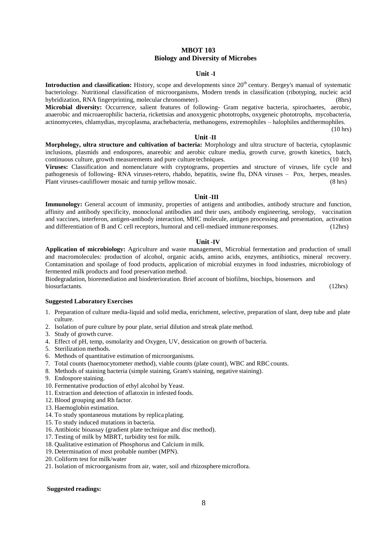# **MBOT 103 Biology and Diversity of Microbes**

# **Unit -I**

**Introduction and classification:** History, scope and developments since 20<sup>th</sup> century. Bergey's manual of systematic bacteriology. Nutritional classification of microorganisms, Modern trends in classification (ribotyping, nucleic acid hybridization, RNA fingerprinting, molecular chronometer). (8hrs)

**Microbial diversity:** Occurrence, salient features of following- Gram negative bacteria, spirochaetes, aerobic, anaerobic and microaerophilic bacteria, rickettsias and anoxygenic phototrophs, oxygeneic phototrophs, mycobacteria, actinomycetes, chlamydias, mycoplasma, arachebacteria, methanogens, extremophiles – halophiles andthermophiles.

(10 hrs)

#### **Unit** -**II**

**Morphology, ultra structure and cultivation of bacteria:** Morphology and ultra structure of bacteria, cytoplasmic inclusions, plasmids and endospores, anareobic and aerobic culture media, growth curve, growth kinetics, batch, continuous culture, growth measurements and pure culture techniques. (10 hrs) **Viruses:** Classification and nomenclature with cryptograms, properties and structure of viruses, life cycle and

pathogenesis of following- RNA viruses-retero, rhabdo, hepatitis, swine flu, DNA viruses – Pox, herpes, measles. Plant viruses-cauliflower mosaic and turnip yellow mosaic. (8 hrs)

#### **Unit -III**

**Immunology:** General account of immunity, properties of antigens and antibodies, antibody structure and function, affinity and antibody specificity, monoclonal antibodies and their uses, antibody engineering, serology, vaccination and vaccines, interferon, antigen-antibody interaction, MHC molecule, antigen processing and presentation, activation and differentiation of B and C cell receptors, humoral and cell-mediaed immune responses. (12hrs)

#### **Unit** -**IV**

**Application of microbiology:** Agriculture and waste management, Microbial fermentation and production of small and macromolecules: production of alcohol, organic acids, amino acids, enzymes, antibiotics, mineral recovery. Contamination and spoilage of food products, application of microbial enzymes in food industries, microbiology of fermented milk products and food preservation method.

Biodegradation, bioremediation and biodeterioration. Brief account of biofilms, biochips, biosensors and biosurfactants. (12hrs)

#### **Suggested Laboratory Exercises**

- 1. Preparation of culture media-liquid and solid media, enrichment, selective, preparation of slant, deep tube and plate culture.
- 2. Isolation of pure culture by pour plate, serial dilution and streak plate method.
- 3. Study of growth curve.
- 4. Effect of pH, temp, osmolarity and Oxygen, UV, dessication on growth of bacteria.
- 5. Sterilization methods.
- 6. Methods of quantitative estimation of microorganisms.
- 7. Total counts (haemocytometer method), viable counts (plate count), WBC and RBC counts.
- 8. Methods of staining bacteria (simple staining, Gram's staining, negative staining).
- 9. Endospore staining.
- 10. Fermentative production of ethyl alcohol by Yeast.
- 11. Extraction and detection of aflatoxin in infested foods.
- 12. Blood grouping and Rh factor.
- 13. Haemoglobin estimation.
- 14. To study spontaneous mutations by replica plating.
- 15. To study induced mutations in bacteria.
- 16. Antibiotic bioassay (gradient plate technique and disc method).
- 17. Testing of milk by MBRT, turbidity test for milk.
- 18. Qualitative estimation of Phosphorus and Calcium in milk.
- 19. Determination of most probable number (MPN).
- 20. Coliform test for milk/water
- 21. Isolation of microorganisms from air, water, soil and rhizosphere microflora.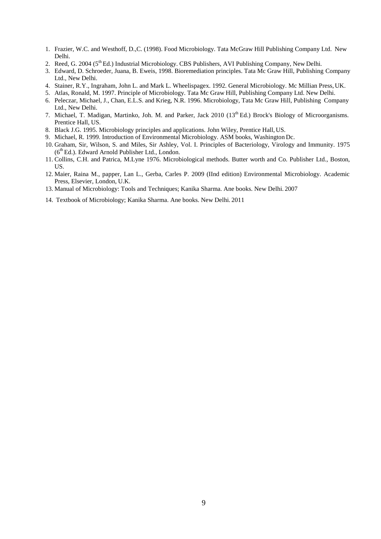- 1. Frazier, W.C. and Westhoff, D.,C. (1998). Food Microbiology. Tata McGraw Hill Publishing Company Ltd. New Delhi.
- 2. Reed, G. 2004 (5<sup>th</sup> Ed.) Industrial Microbiology. CBS Publishers, AVI Publishing Company, New Delhi.
- 3. Edward, D. Schroeder, Juana, B. Eweis, 1998. Bioremediation principles. Tata Mc Graw Hill, Publishing Company Ltd., New Delhi.
- 4. Stainer, R.Y., Ingraham, John L. and Mark L. Wheelispagex. 1992. General Microbiology. Mc Millian Press, UK.
- 5. Atlas, Ronald, M. 1997. Principle of Microbiology. Tata Mc Graw Hill, Publishing Company Ltd. New Delhi.
- 6. Peleczar, Michael, J., Chan, E.L.S. and Krieg, N.R. 1996. Microbiology, Tata Mc Graw Hill, Publishing Company Ltd., New Delhi.
- 7. Michael, T. Madigan, Martinko, Joh. M. and Parker, Jack 2010 (13<sup>th</sup> Ed.) Brock's Biology of Microorganisms. Prentice Hall, US.
- 8. Black J.G. 1995. Microbiology principles and applications. John Wiley, Prentice Hall, US.
- 9. Michael, R. 1999. Introduction of Environmental Microbiology. ASM books, Washington Dc.
- 10. Graham, Sir, Wilson, S. and Miles, Sir Ashley, Vol. I. Principles of Bacteriology, Virology and Immunity. 1975  $(6<sup>th</sup> Ed.)$ . Edward Arnold Publisher Ltd., London.
- 11. Collins, C.H. and Patrica, M.Lyne 1976. Microbiological methods. Butter worth and Co. Publisher Ltd., Boston, US.
- 12. Maier, Raina M., papper, Lan L., Gerba, Carles P. 2009 (IInd edition) Environmental Microbiology. Academic Press, Elsevier, London, U.K.
- 13. Manual of Microbiology: Tools and Techniques; Kanika Sharma. Ane books. New Delhi. 2007
- 14. Textbook of Microbiology; Kanika Sharma. Ane books. New Delhi. 2011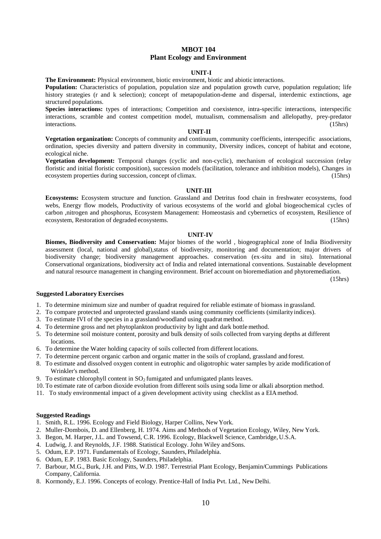# **MBOT 104 Plant Ecology and Environment**

### **UNIT-I**

**The Environment:** Physical environment, biotic environment, biotic and abiotic interactions.

**Population:** Characteristics of population, population size and population growth curve, population regulation; life history strategies (r and k selection); concept of metapopulation-deme and dispersal, interdemic extinctions, age structured populations.

**Species interactions:** types of interactions; Competition and coexistence, intra-specific interactions, interspecific interactions, scramble and contest competition model, mutualism, commensalism and allelopathy, prey-predator interactions. (15hrs)

## **UNIT-II**

**Vegetation organization:** Concepts of community and continuum, community coefficients, interspecific associations, ordination, species diversity and pattern diversity in community, Diversity indices, concept of habitat and ecotone, ecological niche.

**Vegetation development:** Temporal changes (cyclic and non-cyclic), mechanism of ecological succession (relay floristic and initial floristic composition), succession models (facilitation, tolerance and inhibition models), Changes in ecosystem properties during succession, concept of climax. (15hrs)

#### **UNIT-III**

**Ecosystems:** Ecosystem structure and function. Grassland and Detritus food chain in freshwater ecosystems, food webs, Energy flow models, Productivity of various ecosystems of the world and global biogeochemical cycles of carbon ,nitrogen and phosphorus, Ecosystem Management: Homeostasis and cybernetics of ecosystem, Resilience of ecosystem, Restoration of degraded ecosystems. (15hrs)

#### **UNIT-IV**

**Biomes, Biodiversity and Conservation:** Major biomes of the world , biogeographical zone of India Biodiversity assessment (local, national and global),status of biodiversity, monitoring and documentation; major drivers of biodiversity change; biodiversity management approaches. conservation (ex-situ and in situ). International Conservational organizations, biodiversity act of India and related international conventions. Sustainable development and natural resource management in changing environment. Brief account on bioremediation and phytoremediation.

(15hrs)

# **Suggested Laboratory Exercises**

1. To determine minimum size and number of quadrat required for reliable estimate of biomass in grassland.

- 2. To compare protected and unprotected grassland stands using community coefficients (similarityindices).
- 3. To estimate IVI of the species in a grassland/woodland using quadratmethod.
- 4. To determine gross and net phytoplankton productivity by light and dark bottle method.
- 5. To determine soil moisture content, porosity and bulk density of soils collected from varying depths at different locations.
- 6. To determine the Water holding capacity of soils collected from different locations.
- 7. To determine percent organic carbon and organic matter in the soils of cropland, grassland and forest.
- 8. To estimate and dissolved oxygen content in eutrophic and oligotrophic water samples by azide modification of Wrinkler's method.
- 9. To estimate chlorophyll content in  $SO<sub>2</sub>$  fumigated and unfumigated plants leaves.
- 10. To estimate rate of carbon dioxide evolution from different soils using soda lime or alkali absorption method.
- 11. To study environmental impact of a given development activity using checklist as a EIAmethod.

- 1. Smith, R.L. 1996. Ecology and Field Biology, Harper Collins, NewYork.
- 2. Muller-Dombois, D. and Ellenberg, H. 1974. Aims and Methods of Vegetation Ecology, Wiley, New York.
- 3. Begon, M. Harper, J.L. and Towsend, C.R. 1996. Ecology, Blackwell Science, Cambridge,U.S.A.
- 4. Ludwig, J. and Reynolds, J.F. 1988. Statistical Ecology. John Wiley andSons.
- 5. Odum, E.P. 1971. Fundamentals of Ecology, Saunders, Philadelphia.
- 6. Odum, E.P. 1983. Basic Ecology, Saunders, Philadelphia.
- 7. Barbour, M.G., Burk, J.H. and Pitts, W.D. 1987. Terrestrial Plant Ecology, Benjamin/Cummings Publications Company, California.
- 8. Kormondy, E.J. 1996. Concepts of ecology. Prentice-Hall of India Pvt. Ltd., NewDelhi.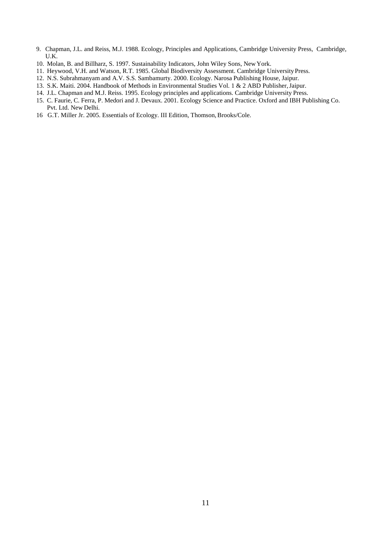- 9. Chapman, J.L. and Reiss, M.J. 1988. Ecology, Principles and Applications, Cambridge University Press, Cambridge, U.K.
- 10. Molan, B. and Billharz, S. 1997. Sustainability Indicators, John Wiley Sons, NewYork.
- 11. Heywood, V.H. and Watson, R.T. 1985. Global Biodiversity Assessment. Cambridge UniversityPress.
- 12. N.S. Subrahmanyam and A.V. S.S. Sambamurty. 2000. Ecology. Narosa Publishing House, Jaipur.
- 13. S.K. Maiti. 2004. Handbook of Methods in Environmental Studies Vol. 1 & 2 ABD Publisher, Jaipur.
- 14. J.L. Chapman and M.J. Reiss. 1995. Ecology principles and applications. Cambridge University Press.
- 15. C. Faurie, C. Ferra, P. Medori and J. Devaux. 2001. Ecology Science and Practice. Oxford and IBH Publishing Co. Pvt. Ltd. New Delhi.
- 16 G.T. Miller Jr. 2005. Essentials of Ecology. III Edition, Thomson, Brooks/Cole.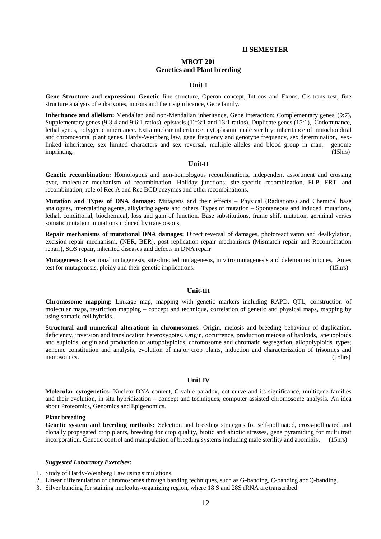### **II SEMESTER**

# **MBOT 201 Genetics and Plant breeding**

#### **Unit-I**

**Gene Structure and expression: Genetic** fine structure, Operon concept, Introns and Exons, Cis-trans test, fine structure analysis of eukaryotes, introns and their significance, Gene family.

**Inheritance and allelism:** Mendalian and non-Mendalian inheritance, Gene interaction: Complementary genes (9:7), Supplementary genes (9:3:4 and 9:6:1 ratios), epistasis (12:3:1 and 13:1 ratios), Duplicate genes (15:1), Codominance, lethal genes, polygenic inheritance. Extra nuclear inheritance: cytoplasmic male sterility, inheritance of mitochondrial and chromosomal plant genes. Hardy-Weinberg law, gene frequency and genotype frequency, sex determination, sexlinked inheritance, sex limited characters and sex reversal, multiple alleles and blood group in man, genome imprinting. (15hrs)

## **Unit-II**

**Genetic recombination:** Homologous and non-homologous recombinations, independent assortment and crossing over, molecular mechanism of recombination, Holiday junctions, site-specific recombination, FLP, FRT and recombination, role of Rec A and Rec BCD enzymes and otherrecombinations.

**Mutation and Types of DNA damage:** Mutagens and their effects – Physical (Radiations) and Chemical base analogues, intercalating agents, alkylating agens and others. Types of mutation – Spontaneous and induced mutations, lethal, conditional, biochemical, loss and gain of function. Base substitutions, frame shift mutation, germinal verses somatic mutation, mutations induced by transposons.

**Repair mechanisms of mutational DNA damages:** Direct reversal of damages, photoreactivaton and dealkylation, excision repair mechanism, (NER, BER), post replication repair mechanisms (Mismatch repair and Recombination repair), SOS repair, inherited diseases and defects in DNA repair

**Mutagenesis:** Insertional mutagenesis, site-directed mutagenesis, in vitro mutagenesis and deletion techniques, Ames test for mutagenesis, ploidy and their genetic implications**.** (15hrs)

## **Unit-III**

**Chromosome mapping:** Linkage map, mapping with genetic markers including RAPD, QTL, construction of molecular maps, restriction mapping – concept and technique, correlation of genetic and physical maps, mapping by using somatic cell hybrids.

**Structural and numerical alterations in chromosomes:** Origin, meiosis and breeding behaviour of duplication, deficiency, inversion and translocation heterozygotes. Origin, occurrence, production meiosis of haploids, aneuoploids and euploids, origin and production of autopolyploids, chromosome and chromatid segregation, allopolyploids types; genome constitution and analysis, evolution of major crop plants, induction and characterization of trisomics and monosomics. (15hrs)

#### **Unit-IV**

**Molecular cytogenetics:** Nuclear DNA content, C-value paradox, cot curve and its significance, multigene families and their evolution, in situ hybridization – concept and techniques, computer assisted chromosome analysis. An idea about Proteomics, Genomics and Epigenomics.

# **Plant breeding**

**Genetic system and breeding methods:** Selection and breeding strategies for self-pollinated, cross-pollinated and clonally propagated crop plants, breeding for crop quality, biotic and abiotic stresses, gene pyramiding for multi trait incorporation. Genetic control and manipulation of breeding systems including male sterility and apomixis**.** (15hrs)

#### *Suggested Laboratory Exercises:*

1. Study of Hardy-Weinberg Law using simulations.

- 2. Linear differentiation of chromosomes through banding techniques, such as G-banding, C-banding andQ-banding.
- 3. Silver banding for staining nucleolus-organizing region, where 18 S and 28S rRNA are transcribed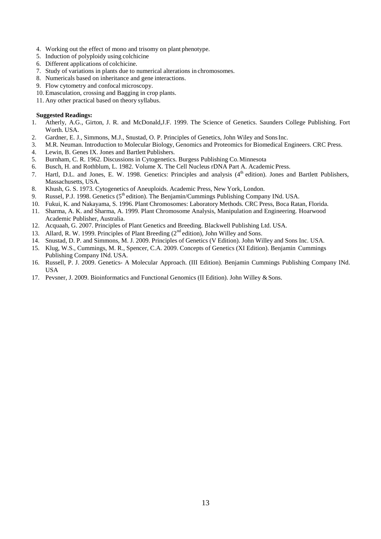- 4. Working out the effect of mono and trisomy on plant phenotype.
- 5. Induction of polyploidy using colchicine
- 6. Different applications of colchicine.
- 7. Study of variations in plants due to numerical alterations in chromosomes.
- 8. Numericals based on inheritance and gene interactions.
- 9. Flow cytometry and confocal microscopy.
- 10. Emasculation, crossing and Bagging in crop plants.
- 11. Any other practical based on theory syllabus.

- 1. Atherly, A.G., Girton, J. R. and McDonald,J.F. 1999. The Science of Genetics. Saunders College Publishing. Fort Worth. USA.
- 2. Gardner, E. J., Simmons, M.J., Snustad, O. P. Principles of Genetics, John Wiley and Sons Inc.
- 3. M.R. Neuman. Introduction to Molecular Biology, Genomics and Proteomics for Biomedical Engineers. CRC Press.
- 4. Lewin, B. Genes IX. Jones and Bartlett Publishers.
- 5. Burnham, C. R. 1962. Discussions in Cytogenetics. Burgess Publishing Co. Minnesota
- 6. Busch, H. and Rothblum, L. 1982. Volume X. The Cell Nucleus rDNA Part A. Academic Press.
- 7. Hartl, D.L. and Jones, E. W. 1998. Genetics: Principles and analysis (4<sup>th</sup> edition). Jones and Bartlett Publishers, Massachusetts, USA.
- 8. Khush, G. S. 1973. Cytogenetics of Aneuploids. Academic Press, New York, London.
- 9. Russel, P.J. 1998. Genetics (5<sup>th</sup> edition). The Benjamin/Cummings Publishing Company INd. USA.
- 10. Fukui, K. and Nakayama, S. 1996. Plant Chromosomes: Laboratory Methods. CRC Press, Boca Ratan, Florida.
- 11. Sharma, A. K. and Sharma, A. 1999. Plant Chromosome Analysis, Manipulation and Engineering. Hoarwood Academic Publisher, Australia.
- 12. Acquaah, G. 2007. Principles of Plant Genetics and Breeding. Blackwell Publishing Ltd. USA.
- 13. Allard, R. W. 1999. Principles of Plant Breeding (2<sup>nd</sup> edition), John Willey and Sons.
- 14. Snustad, D. P. and Simmons, M. J. 2009. Principles of Genetics (V Edition). John Willey and Sons Inc. USA.
- 15. Klug, W.S., Cummings, M. R., Spencer, C.A. 2009. Concepts of Genetics (XI Edition). Benjamin Cummings Publishing Company INd. USA.
- 16. Russell, P. J. 2009. Genetics- A Molecular Approach. (III Edition). Benjamin Cummings Publishing Company INd. USA
- 17. Pevsner, J. 2009. Bioinformatics and Functional Genomics (II Edition). John Willey & Sons.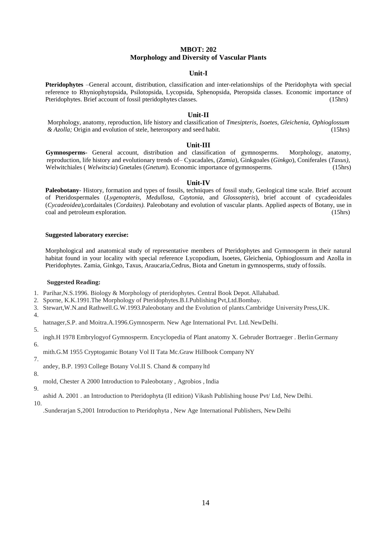# **MBOT: 202 Morphology and Diversity of Vascular Plants**

## **Unit-I**

**Pteridophytes** –General account, distribution, classification and inter-relationships of the Pteridophyta with special reference to Rhyniophytopsida, Psilotopsida, Lycopsida, Sphenopsida*,* Pteropsida classes. Economic importance of Pteridophytes. Brief account of fossil pteridophytes classes. (15hrs)

## **Unit-II**

Morphology, anatomy, reproduction, life history and classification of *Tmesipteris, Isoetes, Gleichenia, Ophioglossum & Azolla;* Origin and evolution of stele, heterospory and seed habit. (15hrs)

#### **Unit-III**

**Gymnosperms**- General account, distribution and classification of gymnosperms. Morphology, anatomy, reproduction, life history and evolutionary trends of– Cyacadales, (*Zamia*), Ginkgoales (*Ginkgo*), Coniferales (*Taxus)*, Welwitchiales ( *Welwitscia*) Gnetales (*Gnetum*). Economic importance of gymnosperms. (15hrs)

## **Unit-IV**

**Paleobotany**- History, formation and types of fossils, techniques of fossil study, Geological time scale. Brief account of Pteridospermales (*Lygenopteris, Medullosa, Caytonia,* and *Glossopteris*), brief account of cycadeoidales (*Cycadeoidea*),cordaitales (*Cordaites).* Paleobotany and evolution of vascular plants. Applied aspects of Botany, use in coal and petroleum exploration. (15hrs)

## **Suggested laboratory exercise:**

Morphological and anatomical study of representative members of Pteridophytes and Gymnosperm in their natural habitat found in your locality with special reference Lycopodium, Isoetes, Gleichenia, Ophioglossum and Azolla in Pteridophytes. Zamia, Ginkgo, Taxus, Araucaria,Cedrus, Biota and Gnetum in gymnosperms, study of fossils.

#### **Suggested Reading:**

- 1. Parihar,N.S.1996. Biology & Morphology of pteridophytes. Central Book Depot. Allahabad.
- 2. Sporne, K.K.1991.The Morphology of Pteridophytes.B.I.Publishing Pvt,Ltd.Bombay.
- 3. Stewart,W.N.and Rathwell.G.W.1993.Paleobotany and the Evolution of plants.Cambridge University Press,UK.
- 4.

hatnager,S.P. and Moitra.A.1996.Gymnosperm. New Age International Pvt. Ltd. NewDelhi.

- 5.
- ingh.H 1978 Embrylogyof Gymnosperm. Encyclopedia of Plant anatomy X. Gebruder Bortraeger . Berlin Germany
- 6.
- mith.G.M 1955 Cryptogamic Botany Vol II Tata Mc.Graw Hillbook Company NY
- 7.

andey, B.P. 1993 College Botany Vol.II S. Chand & company ltd

- 8.
- rnold, Chester A 2000 Introduction to Paleobotany , Agrobios , India 9.
- ashid A. 2001 . an Introduction to Pteridophyta (II edition) Vikash Publishing house Pvt/ Ltd, New Delhi.

10.

.Sunderarjan S,2001 Introduction to Pteridophyta , New Age International Publishers, New Delhi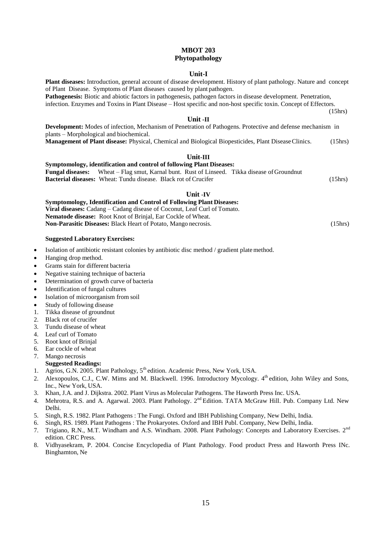# **MBOT 203 Phytopathology**

#### **Unit-I Plant diseases:** Introduction, general account of disease development. History of plant pathology. Nature and concept

of Plant Disease. Symptoms of Plant diseases caused by plant pathogen. **Pathogenesis:** Biotic and abiotic factors in pathogenesis, pathogen factors in disease development. Penetration, infection. Enzymes and Toxins in Plant Disease – Host specific and non-host specific toxin. Concept of Effectors. (15hrs) **Unit -II Development:** Modes of infection, Mechanism of Penetration of Pathogens. Protective and defense mechanism in plants – Morphological and biochemical. **Management of Plant disease:** Physical, Chemical and Biological Biopesticides, Plant Disease Clinics. (15hrs) **Unit-III Symptomology, identification and control of following Plant Diseases: Fungal diseases:** Wheat – Flag smut, Karnal bunt. Rust of Linseed. Tikka disease of Groundnut **Bacterial diseases:** Wheat: Tundu disease. Black rot of Crucifer (15hrs) **Unit** -**IV Symptomology, Identification and Control of Following Plant Diseases: Viral diseases:** Cadang – Cadang disease of Coconut, Leaf Curl of Tomato. **Nematode disease:** Root Knot of Brinjal, Ear Cockle of Wheat. **Non-Parasitic Diseases:** Black Heart of Potato, Mango necrosis. (15hrs)

#### **Suggested Laboratory Exercises:**

- Isolation of antibiotic resistant colonies by antibiotic disc method / gradient plate method.
- Hanging drop method.
- Grams stain for different bacteria
- Negative staining technique of bacteria
- Determination of growth curve of bacteria
- Identification of fungal cultures
- Isolation of microorganism from soil
- Study of following disease
- 1. Tikka disease of groundnut
- 2. Black rot of crucifer
- 3. Tundu disease of wheat
- 4. Leaf curl of Tomato
- 5. Root knot of Brinjal
- 6. Ear cockle of wheat
- 7. Mango necrosis

- 1. Agrios, G.N. 2005. Plant Pathology, 5<sup>th</sup> edition. Academic Press, New York, USA.
- 2. Alexopoulos, C.J., C.W. Mims and M. Blackwell. 1996. Introductory Mycology. 4<sup>th</sup> edition, John Wiley and Sons, Inc., New York, USA.
- 3. Khan, J.A. and J. Dijkstra. 2002. Plant Virus as Molecular Pathogens. The Haworth Press Inc. USA.
- 4. Mehrotra, R.S. and A. Agarwal. 2003. Plant Pathology. 2<sup>nd</sup> Edition. TATA McGraw Hill. Pub. Company Ltd. New Delhi.
- 5. Singh, R.S. 1982. Plant Pathogens : The Fungi. Oxford and IBH Publishing Company, New Delhi, India.
- 6. Singh, RS. 1989. Plant Pathogens : The Prokaryotes. Oxford and IBH Publ. Company, New Delhi, India.
- 7. Trigiano, R.N., M.T. Windham and A.S. Windham. 2008. Plant Pathology: Concepts and Laboratory Exercises. 2<sup>nd</sup> edition. CRC Press.
- 8. Vidhyasekram, P. 2004. Concise Encyclopedia of Plant Pathology. Food product Press and Haworth Press INc. Binghamton, Ne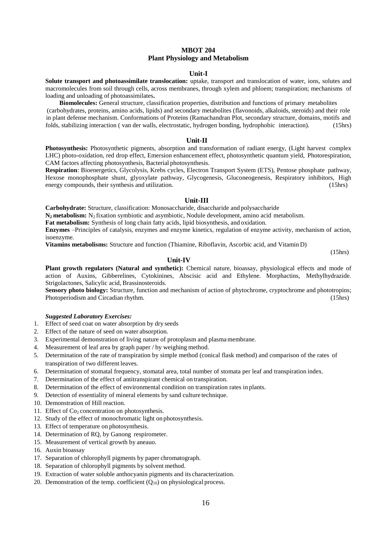# **MBOT 204 Plant Physiology and Metabolism**

#### **Unit-I**

**Solute transport and photoassimilate translocation:** uptake, transport and translocation of water, ions, solutes and macromolecules from soil through cells, across membranes, through xylem and phloem; transpiration; mechanisms of loading and unloading of photoassimilates**.**

**Biomolecules:** General structure, classification properties, distribution and functions of primary metabolites (carbohydrates, proteins, amino acids, lipids) and secondary metabolites (flavonoids, alkaloids, steroids) and their role in plant defense mechanism. Conformations of Proteins (Ramachandran Plot, secondary structure, domains, motifs and folds, stabilizing interaction ( van der walls, electrostatic, hydrogen bonding, hydrophobic interaction). (15hrs)

#### **Unit-II**

**Photosynthesis:** Photosynthetic pigments, absorption and transformation of radiant energy, (Light harvest complex LHC) photo-oxidation, red drop effect, Emersion enhancement effect, photosynthetic quantum yield, Photorespiration, CAM factors affecting photosynthesis, Bacterial photosynthesis.

**Respiration**: Bioenergetics, Glycolysis, Krebs cycles, Electron Transport System (ETS), Pentose phosphate pathway, Hexose monophosphate shunt, glyoxylate pathway, Glycogenesis, Gluconeogenesis, Respiratory inhibitors, High energy compounds, their synthesis and utilization. (15hrs) (15hrs)

#### **Unit-III**

**Carbohydrate:** Structure, classification: Monosaccharide, disaccharide and polysaccharide

**N2 metabolism:** N2 fixation symbiotic and asymbiotic, Nodule development, amino acid metabolism.

**Fat metabolism:** Synthesis of long chain fatty acids, lipid biosynthesis, and oxidation.

**Enzymes** –Principles of catalysis, enzymes and enzyme kinetics, regulation of enzyme activity, mechanism of action, isoenzyme.

**Vitamins metabolisms:** Structure and function (Thiamine, Riboflavin, Ascorbic acid, and Vitamin D)

(15hrs)

## **Unit-IV**

**Plant growth regulators (Natural and synthetic):** Chemical nature, bioassay, physiological effects and mode of action of Auxins, Gibberelines, Cytokinines, Abscisic acid and Ethylene. Morphactins, Methylhydrazide. Strigolactones, Salicylic acid, Brassinosteroids.

**Sensory photo biology:** Structure, function and mechanism of action of phytochrome, cryptochrome and phototropins; Photoperiodism and Circadian rhythm. (15hrs)

#### *Suggested Laboratory Exercises:*

- 1. Effect of seed coat on water absorption by dry seeds
- 2. Effect of the nature of seed on water absorption.
- 3. Experimental demonstration of living nature of protoplasm and plasma membrane.
- 4. Measurement of leaf area by graph paper / by weighing method.
- 5. Determination of the rate of transpiration by simple method (conical flask method) and comparison of the rates of transpiration of two different leaves.
- 6. Determination of stomatal frequency, stomatal area, total number of stomata per leaf and transpiration index.
- 7. Determination of the effect of antitranspirant chemical on transpiration.
- 8. Determination of the effect of environmental condition on transpiration rates in plants.
- 9. Detection of essentiality of mineral elements by sand culture technique.
- 10. Demonstration of Hill reaction.
- 11. Effect of  $Co<sub>2</sub>$  concentration on photosynthesis.
- 12. Study of the effect of monochromatic light on photosynthesis.
- 13. Effect of temperature on photosynthesis.
- 14. Determination of RQ, by Ganong respirometer.
- 15. Measurement of vertical growth by aneauo.
- 16. Auxin bioassay
- 17. Separation of chlorophyll pigments by paper chromatograph.
- 18. Separation of chlorophyll pigments by solvent method.
- 19. Extraction of water soluble anthocyanin pigments and its characterization.
- 20. Demonstration of the temp. coefficient  $(Q_{10})$  on physiological process.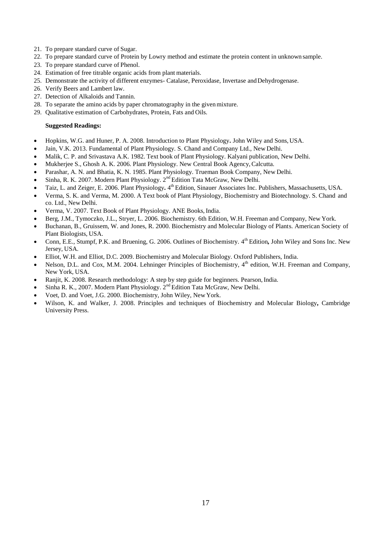- 21. To prepare standard curve of Sugar.
- 22. To prepare standard curve of Protein by Lowry method and estimate the protein content in unknown sample.
- 23. To prepare standard curve of Phenol.
- 24. Estimation of free titrable organic acids from plant materials.
- 25. Demonstrate the activity of different enzymes- Catalase, Peroxidase, Invertase andDehydrogenase.
- 26. Verify Beers and Lambert law.
- 27. Detection of Alkaloids and Tannin.
- 28. To separate the amino acids by paper chromatography in the givenmixture.
- 29. Qualitative estimation of Carbohydrates, Protein, Fats and Oils.

- Hopkins, W.G. and Huner, P. A. 2008. Introduction to Plant Physiology*.* John Wiley and Sons,USA.
- Jain, V.K. 2013. Fundamental of Plant Physiology. S. Chand and Company Ltd., New Delhi.
- Malik, C. P. and Srivastava A.K. 1982. Text book of Plant Physiology. Kalyani publication, New Delhi.
- Mukherjee S., Ghosh A. K. 2006. Plant Physiology. New Central Book Agency,Calcutta.
- Parashar, A. N. and Bhatia, K. N. 1985. Plant Physiology. Trueman Book Company, New Delhi.
- Sinha, R. K. 2007. Modern Plant Physiology. 2<sup>nd</sup> Edition Tata McGraw, New Delhi.
- Taiz, L. and Zeiger, E. 2006. Plant Physiology. 4<sup>th</sup> Edition, Sinauer Associates Inc. Publishers, Massachusetts, USA.
- Verma, S. K. and Verma, M. 2000. A Text book of Plant Physiology, Biochemistry and Biotechnology. S. Chand and co. Ltd., New Delhi.
- Verma, V. 2007. Text Book of Plant Physiology. ANE Books, India.
- Berg, J.M., Tymoczko, J.L., Stryer, L. 2006. Biochemistry. 6th Edition, W.H. Freeman and Company, New York.
- Buchanan, B., Gruissem, W. and Jones, R. 2000. Biochemistry and Molecular Biology of Plants. American Society of Plant Biologists, USA.
- Conn, E.E., Stumpf, P.K. and Bruening, G. 2006. Outlines of Biochemistry. 4<sup>th</sup> Edition, John Wiley and Sons Inc. New Jersey, USA.
- Elliot, W.H. and Elliot, D.C. 2009. Biochemistry and Molecular Biology. Oxford Publishers, India.
- Nelson, D.L. and Cox, M.M. 2004. Lehninger Principles of Biochemistry, 4<sup>th</sup> edition, W.H. Freeman and Company, New York, USA.
- Ranjit, K. 2008. Research methodology: A step by step guide for beginners. Pearson, India.
- Sinha R. K., 2007. Modern Plant Physiology. 2nd Edition Tata McGraw, New Delhi.
- Voet, D. and Voet, J.G. 2000*.* Biochemistry, John Wiley, NewYork.
- Wilson, K. and Walker, J. 2008. Principles and techniques of Biochemistry and Molecular Biology**,** Cambridge University Press.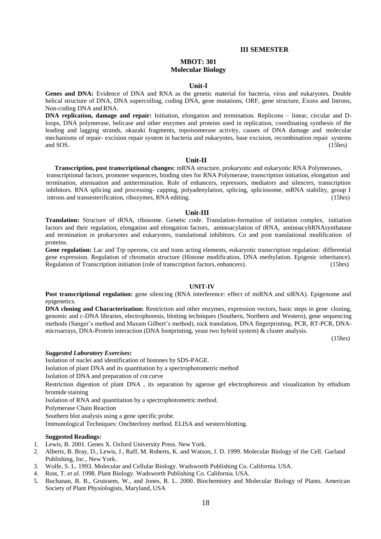#### **III SEMESTER**

# **MBOT: 301 Molecular Biology**

#### **Unit-I**

**Genes and DNA:** Evidence of DNA and RNA as the genetic material for bacteria, virus and eukaryotes. Double helical structure of DNA, DNA supercoiling, coding DNA, gene mutations, ORF, gene structure, Exons and Introns, Non-coding DNA and RNA.

**DNA replication, damage and repair:** Initiation, elongation and termination. Replicons – linear, circular and Dloops, DNA polymerase, helicase and other enzymes and proteins used in replication, coordinating synthesis of the leading and lagging strands, okazaki fragments, topoisomerase activity, causes of DNA damage and molecular mechanisms of repair- excision repair system in bacteria and eukaryotes, base excision, recombination repair systems and SOS. (15hrs) (15hrs)

#### **Unit-II**

**Transcription, post transcriptional changes:** mRNA structure, prokaryotic and eukaryotic RNA Polymerases, transcriptional factors, promoter sequences, binding sites for RNA Polymerase, transcription initiation, elongation and termination, attenuation and antitermination. Role of enhancers, repressors, mediators and silencers, transcription inhibitors. RNA splicing and processing- capping, polyadenylation, splicing, spliciosome, mRNA stability, group I introns and transesterification, ribozymes, RNA editing. (15hrs)

#### **Unit-III**

**Translation:** Structure of tRNA, ribosome. Genetic code. Translation-formation of initiation complex, initiation factors and their regulation, elongation and elongation factors, aminoacylation of tRNA, aminoacyltRNAsynthatase and termination in prokaryotes and eukaryotes, translational inhibitors. Co and post translational modification of proteins.

**Gene regulation:** Lac and Trp operons, cis and trans acting elements, eukaryotic transcription regulation: differential gene expression. Regulation of chromatin structure (Histone modification, DNA methylation. Epigenic inheritance). Regulation of Transcription initiation (role of transcription factors, enhancers). (15hrs)

#### **UNIT-IV**

**Post transcriptional regulation:** gene silencing (RNA interference: effect of miRNA and siRNA). Epigenome and epigenetics.

**DNA cloning and Characterization:** Restriction and other enzymes, expression vectors, basic steps in gene cloning, genomic and c-DNA libraries, electrophoresis, blotting techniques (Southern, Northern and Western), gene sequencing methods (Sanger's method and Maxam Gilbert's method), nick translation, DNA fingerprinting, PCR, RT-PCR, DNAmicroarrays, DNA-Protein interaction (DNA footprinting, yeast two hybrid system) & cluster analysis.

(15hrs)

## *Suggested Laboratory Exercises:*

Isolation of nuclei and identification of histones by SDS-PAGE.

Isolation of plant DNA and its quantitation by a spectrophotometric method

Isolation of DNA and preparation of cot curve

Restriction digestion of plant DNA , its separation by agarose gel electrophoresis and visualization by ethidium bromide staining

Isolation of RNA and quantitation by a spectrophotometric method.

Polymerase Chain Reaction

Southern blot analysis using a gene specific probe.

Immunological Techniques: Onchterlony method. ELISA and westernblotting.

- 1. Lewis, B. 2001. Genes X. Oxford University Press. New York.
- 2. Alberts, B. Bray, D., Lewis, J., Raff, M. Roberts, K. and Watson, J. D. 1999. Molecular Biology of the Cell. Garland Publishing, Inc., New York.
- 3. Wolfe, S. L. 1993. Molecular and Cellular Biology. Wadsworth Publishing Co. California. USA.
- 4. Rost, T. *et al*. 1998. Plant Biology. Wadsworth Publishing Co. California. USA.
- 5. Buchanan, B. B., Gruissem, W., and Jones, R. L. 2000. Biochemistry and Molecular Biology of Plants. American Society of Plant Physiologists, Maryland, USA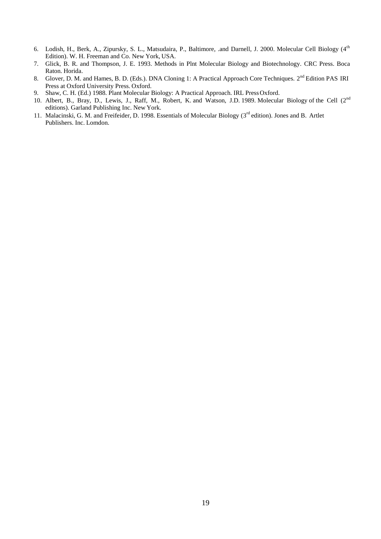- 6. Lodish, H., Berk, A., Zipursky, S. L., Matsudaira, P., Baltimore, .and Darnell, J. 2000. Molecular Cell Biology (4th Edition). W. H. Freeman and Co. New York, USA.
- 7. Glick, B. R. and Thompson, J. E. 1993. Methods in Plnt Molecular Biology and Biotechnology. CRC Press. Boca Raton. Horida.
- 8. Glover, D. M. and Hames, B. D. (Eds.). DNA Cloning 1: A Practical Approach Core Techniques. 2<sup>nd</sup> Edition PAS IRI Press at Oxford University Press. Oxford.
- 9. Shaw, C. H. (Ed.) 1988. Plant Molecular Biology: A Practical Approach. IRL PressOxford.
- 10. Albert, B., Bray, D., Lewis, J., Raff, M., Robert, K. and Watson, J.D. 1989. Molecular Biology of the Cell (2<sup>nd</sup> editions). Garland Publishing Inc. New York.
- 11. Malacinski, G. M. and Freifeider, D. 1998. Essentials of Molecular Biology (3<sup>rd</sup> edition). Jones and B. Artlet Publishers. Inc. Lomdon.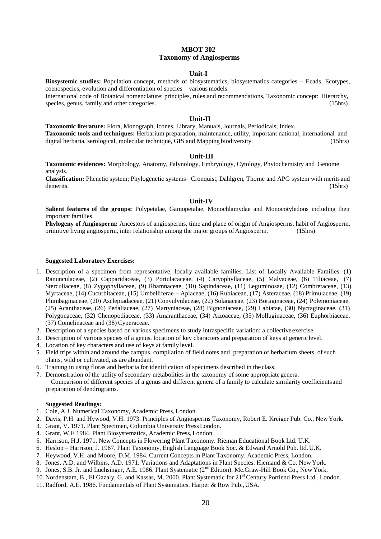# **MBOT 302 Taxonomy of Angiosperms**

# **Unit-I**

**Biosystemic studies:** Population concept, methods of biosystematics, biosystematics categories – Ecads, Ecotypes, coenospecies, evolution and differentiation of species – various models.

International code of Botanical nomenclature: principles, rules and recommendations, Taxonomic concept: Hierarchy, species, genus, family and other categories. (15hrs) (15hrs)

# **Unit-II**

**Taxonomic literature:** Flora, Monograph, Icones, Library, Manuals, Journals, Periodicals, Index. **Taxonomic tools and techniques:** Herbarium preparation, maintenance, utility, important national, international and digital herbaria, serological, molecular technique, GIS and Mapping biodiversity. (15hrs)

#### **Unit-III**

**Taxonomic evidences:** Morphology, Anatomy, Palynology, Embryology, Cytology, Phytochemistry and Genome analysis.

**Classification:** Phenetic system; Phylogenetic systems– Cronquist, Dahlgren, Thorne and APG system with merits and demerits. (15hrs)

#### **Unit-IV**

**Salient features of the groups:** Polypetalae, Gamopetalae, Monochlamydae and Monocotyledons including their important families.

**Phylogeny of Angiosperm:** Ancestors of angiosperms, time and place of origin of Angiosperms, habit of Angiosperm, primitive living angiosperm, inter relationship among the major groups of Angiosperm. (15hrs)

#### **Suggested Laboratory Exercises:**

- 1. Description of a specimen from representative, locally available families. List of Locally Available Families. (1) Ranunculaceae, (2) Capparidaceae, (3) Portulacaceae, (4) Caryophyllaceae, (5) Malvaceae, (6) Tiliaceae, (7) Sterculiaceae, (8) Zygophyllaceae, (9) Rhamnaceae, (10) Sapindaceae, (11) Leguminosae, (12) Combretaceae, (13) Myrtaceae, (14) Cucurbitaceae, (15) Umbelliferae – Apiaceae, (16) Rubiaceae, (17) Asteraceae, (18) Primulaceae, (19) Plumbaginaceae, (20) Asclepiadaceae, (21) Convulvulaceae, (22) Solanaceae, (23) Boraginaceae, (24) Polemoniaceae, (25) Acanthaceae, (26) Pedaliaceae, (27) Martyniaceae, (28) Bignoniaceae, (29) Labiatae, (30) Nyctaginaceae, (31) Polygonaceae, (32) Chenopodiaceae, (33) Amaranthaceae, (34) Aizoaceae, (35) Molluginaceae, (36) Euphorbiaceae, (37) Comelinaceae and (38) Cyperaceae.
- 2. Description of a species based on various specimens to study intraspecific variation: a collective exercise.
- 3. Description of various species of a genus, location of key characters and preparation of keys at generic level.
- 4. Location of key characters and use of keys at family level.
- 5. Field trips within and around the campus, compilation of field notes and preparation of herbarium sheets of such plants, wild or cultivated, as are abundant.
- 6. Training in using floras and herbaria for identification of specimens described in the class.
- 7. Demonstration of the utility of secondary metabolities in the taxonomy of some appropriate genera. Comparison of different species of a genus and different genera of a family to calculate similarity coefficientsand preparation of dendrograms.

- 1. Cole, A.J. Numerical Taxonomy, Academic Press, London.
- 2. Davis, P.H. and Hywood, V.H. 1973. Principles of Angiosperms Taxonomy, Robert E. Kreiger Pub. Co., NewYork.
- 3. Grant, V. 1971. Plant Specimen, Columbia University Press London.
- 4. Grant, W.E 1984. Plant Biosystematics, Academic Press, London.
- 5. Harrison, H.J. 1971. New Concepts in Flowering Plant Taxonomy. Rieman Educational Book Ltd. U.K.
- 6. Heslop Harrison, J. 1967. Plant Taxonomy, English Language Book Soc. & Edward Arnold Pub. ltd. U.K.
- 7. Heywood, V.H. and Moore, D.M. 1984. Current Concepts in Plant Taxonomy. Academic Press, London.
- 8. Jones, A.D. and Wilbins, A.D. 1971. Variations and Adaptations in Plant Species. Hiemand & Co. New York.
- 9. Jones, S.B. Jr. and Luchsinger, A.E. 1986. Plant Systematic (2<sup>nd</sup> Edition). Mc.Graw-Hill Book Co., New York.
- 10. Nordenstam, B., El Gazaly, G. and Kassas, M. 2000. Plant Systematic for 21<sup>st</sup> Century Portlend Press Ltd., London.
- 11. Radford, A.E. 1986. Fundamentals of Plant Systematics. Harper & Row Pub.,USA.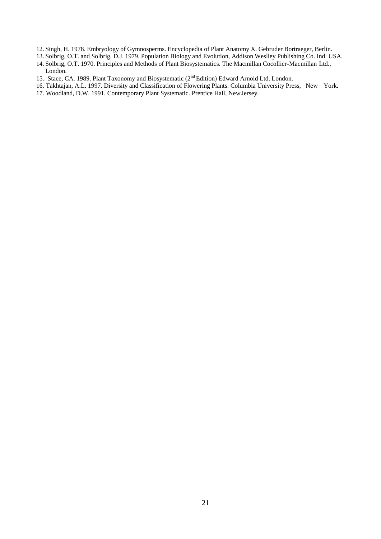- 12. Singh, H. 1978. Embryology of Gymnosperms. Encyclopedia of Plant Anatomy X. Gebruder Bortraeger, Berlin.
- 13. Solbrig, O.T. and Solbrig, D.J. 1979. Population Biology and Evolution, Addison Weslley Publishing Co. Ind. USA. 14. Solbrig, O.T. 1970. Principles and Methods of Plant Biosystematics. The Macmillan Cocollier-Macmillan Ltd.,
	- London.
- 15. Stace, CA. 1989. Plant Taxonomy and Biosystematic (2<sup>nd</sup> Edition) Edward Arnold Ltd. London.
- 16. Takhtajan, A.L. 1997. Diversity and Classification of Flowering Plants. Columbia University Press, New York.
- 17. Woodland, D.W. 1991. Contemporary Plant Systematic. Prentice Hall, NewJersey.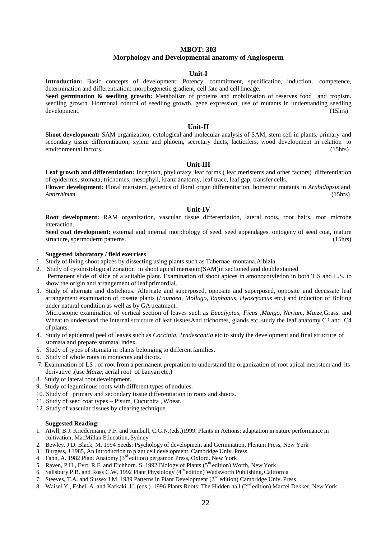## **MBOT: 303**

## **Morphology and Developmental anatomy of Angiosperm**

# **Unit-I**

**Introduction:** Basic concepts of development: Potency, commitment, specification, induction, competence, determination and differentiation; morphogenetic gradient, cell fate and cell lineage.

Seed germination & seedling growth: Metabolism of proteins and mobilization of reserves food and tropism. seedling growth. Hormonal control of seedling growth, gene expression, use of mutants in understanding seedling development. (15hrs) development. (15hrs)

#### **Unit-II**

**Shoot development:** SAM organization, cytological and molecular analysis of SAM, stem cell in plants, primary and secondary tissue differentiation, xylem and phloem, secretary ducts, lacticifers, wood development in relation to environmental factors. (15hrs)

## **Unit-III**

Leaf growth and differentiation: Inception, phyllotaxy, leaf forms (leaf meristems and other factors) differentiation of epidermis, stomata, trichomes, mesophyll, kranz anatomy, leaf trace, leaf gap, transfer cells.

**Flower development:** Floral meristem, genetics of floral organ differentiation, homeotic mutants in *Arabidopsis* and *Antirrhinum*. (15hrs) *Antirrhinum.* (15hrs)

# **Unit-IV**

**Root development:** RAM organization, vascular tissue differentiation, lateral roots, root hairs, root microbe interaction.

**Seed coat development:** external and internal morphology of seed, seed appendages, ontogeny of seed coat, mature structure, spermoderm patterns. (15hrs)

#### **Suggested laboratory / field exercises**

- 1. Study of living shoot apices by dissecting using plants such as Tabernae -montana,Albizia.
- 2. Study of cytohistological zonation in shoot apical meristem(SAM)in sectioned and double stained Permanent slide of slide of a suitable plant. Examination of shoot apices in amonocotyledon in both T.S and L.S. to show the origin and arrangement of leaf primordial.
- 3. Study of alternate and distichous. Alternate and superposed, opposite and superposed, opposite and decussate leaf arrangement examination of rosette plants (*Launaea, Mollugo, Raphanus, Hyoscyamus* etc.) and induction of Bolting under natural condition as well as by GA treatment.

Microscopic examination of vertical section of leaves such as *Eucalyptus, Ficus ,Mango, Nerium, Maize,*Grass, and Wheat to understand the internal structure of leaf tissuesAnd trichomes, glands etc. study the leaf anatomy C3 and C4 of plants.

- 4. Study of epidermal peel of leaves such as *Coccinia, Tradescantia* etc.to study the development and final structure of stomata and prepare stomatal index.
- 5. Study of types of stomata in plants belonging to differentfamilies.
- 6. Study of whole roots in monocots and dicots.
- 7. Examination of LS . of root from a permanent prepration to understand the organization of root apical meristem and its derivative .(use *Maize*, aerial root of banyan etc.)
- 8. Study of lateral root development.
- 9. Study of leguminous roots with different types of nodules.
- 10. Study of primary and secondary tissue differentiation in roots and shoots.
- 11. Study of seed coat types Pisum, Cucurbita , Wheat.
- 12. Study of vascular tissues by clearing technique.

- 1. Atwll, B.J. Kriedcrmann, P.F. and Jumbull, C.G.N.(eds.)1999. Plants in Actions: adaptation in nature performance in cultivation, MacMillan Education, Sydney
- 2. Bewley. J.D. Black, M. 1994 Seeds: Psychology of development and Germination, Plenum Press, New York
- 3. Burgess, J 1985, An Introduction to plant cell development. Cambridge Univ. Press
- 4. Fahn, A. 1982 Plant Anatomy (3<sup>rd</sup> edition) pergamon Press, Oxford. New York
- 5. Raven, P.H., Evrt. R.F. and Eichhorn. S. 1992 Biology of Plants (5<sup>th</sup> edition) Worth, New York
- 6. Salisbury P.B. and Ross C.W. 1992 Plant Physiology (4<sup>th</sup> edition) Wadsworth Publishing, California
- 7. Steeves, T.A. and Sussex I.M. 1989 Patterns in Plant Development (2<sup>nd</sup> edition) Cambridge Univ. Press
- 8. Waisel Y., Eshel, A. and Kafkaki. U. (eds.) 1996 Plants Roots: The Hidden hall (2<sup>nd</sup> edition) Marcel Dekker, New York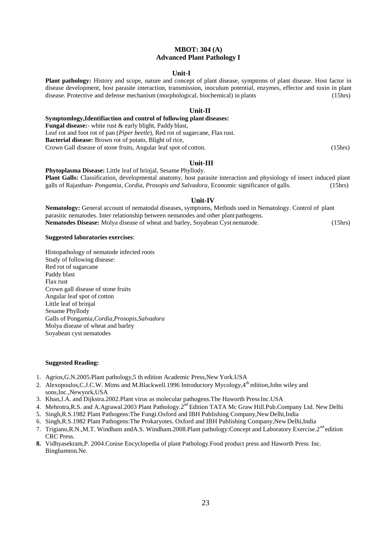# **MBOT: 304 (A) Advanced Plant Pathology I**

## **Unit-I**

**Plant pathology:** History and scope, nature and concept of plant disease, symptoms of plant disease. Host factor in disease development, host parasite interaction, transmission, inoculum potential, enzymes, effector and toxin in plant disease. Protective and defense mechanism (morphological, biochemical) in plants (15hrs)

#### **Unit-II**

**Symptomlogy,Identifiaction and control of following plant diseases: Fungal disease:**- white rust & early blight, Paddy blast, Leaf rot and foot rot of pan (*Piper beetle*), Red rot of sugarcane, Flax rust.

**Bacterial disease:** Brown rot of potato, Blight of rice,

Crown Gall disease of stone fruits, Angular leaf spot of cotton. (15hrs)

## **Unit-III**

**Phytoplasma Disease:** Little leaf of brinjal, Sesame Phyllody. **Plant Galls:** Classification, developmental anatomy, host parasite interaction and physiology of insect induced plant galls of Rajasthan- *Pongamia*, *Cordia, Prosopis and Salvadora*, Economic significance of galls. (15hrs)

## **Unit-IV**

**Nematology:** General account of nematodal diseases, symptoms, Methods used in Nematology. Control of plant parasitic nematodes. Inter relationship between nematodes and other plant pathogens. **Nematodes Disease:** Molya disease of wheat and barley, Soyabean Cyst nematode. (15hrs)

## **Suggested laboratories exercises**:

Histopathology of nematode infected roots Study of following disease: Red rot of sugarcane Paddy blast Flax rust Crown gall disease of stone fruits Angular leaf spot of cotton Little leaf of brinjal Sesame Phyllody Galls of Pongamia,*Cordia,Prosopis,Salvadora* Molya disease of wheat and barley Soyabean cyst nematodes

- 1. Agrios,G.N.2005.Plant pathology,5 th edition Academic Press,New York.USA
- 2. Alexopoulos,C.J.C.W. Mims and M.Blackwell.1996 Introductory Mycology,4<sup>th</sup> edition,John wiley and sons,Inc.,Newyork,USA
- 3. Khan,J.A. and Dijkstra.2002.Plant virus as molecular pathogens.The Haworth PressInc.USA
- 4. Mehrotra, R.S. and A.Agrawal.2003 Plant Pathology.2<sup>nd</sup> Edition TATA Mc Graw Hill.Pub.Company Ltd. New Delhi
- 5. Singh,R.S.1982 Plant Pathogens:The Fungi.Oxford and IBH Publishing Company,NewDelhi,India
- 6. Singh,R.S.1982 Plant Pathogens:The Prokaryotes. Oxford and IBH Publishing Company,New Delhi,India
- 7. Trigiano,R.N.,M.T. Windham and A.S. Windham.2008.Plant pathology:Concept and Laboratory Exercise.2<sup>nd</sup> edition CRC Press.
- **8.** Vidhyasekram,P. 2004.Conise Encyclopedia of plant Pathology.Food product press and Haworth Press Inc. Binghamton.Ne.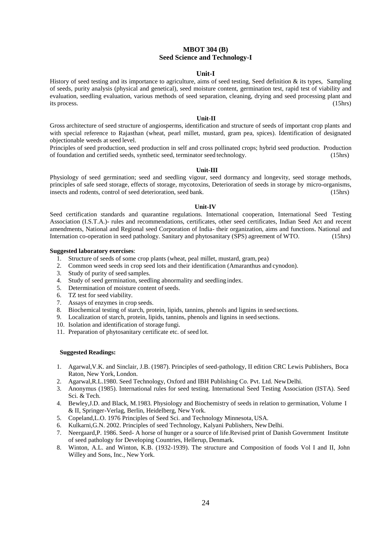# **MBOT 304 (B) Seed Science and Technology-I**

# **Unit-I**

History of seed testing and its importance to agriculture, aims of seed testing, Seed definition  $\&$  its types, Sampling of seeds, purity analysis (physical and genetical), seed moisture content, germination test, rapid test of viability and evaluation, seedling evaluation, various methods of seed separation, cleaning, drying and seed processing plant and its process. (15hrs)

## **Unit-II**

Gross architecture of seed structure of angiosperms, identification and structure of seeds of important crop plants and with special reference to Rajasthan (wheat, pearl millet, mustard, gram pea, spices). Identification of designated objectionable weeds at seed level.

Principles of seed production, seed production in self and cross pollinated crops; hybrid seed production. Production of foundation and certified seeds, synthetic seed, terminator seed technology. (15hrs)

#### **Unit-III**

Physiology of seed germination; seed and seedling vigour, seed dormancy and longevity, seed storage methods, principles of safe seed storage, effects of storage, mycotoxins, Deterioration of seeds in storage by micro-organisms, insects and rodents, control of seed deterioration, seed bank. (15hrs)

#### **Unit-IV**

Seed certification standards and quarantine regulations. International cooperation, International Seed Testing Association (I.S.T.A.)- rules and recommendations, certificates, other seed certificates, Indian Seed Act and recent amendments, National and Regional seed Corporation of India- their organization, aims and functions. National and Internation co-operation in seed pathology. Sanitary and phytosanitary (SPS) agreement of WTO. (15hrs)

#### **Suggested laboratory exercises**:

- 1. Structure of seeds of some crop plants (wheat, peal millet, mustard, gram, pea)
- 2. Common weed seeds in crop seed lots and their identification (Amaranthus and cynodon).
- 3. Study of purity of seed samples.
- 4. Study of seed germination, seedling abnormality and seedling index.
- 5. Determination of moisture content of seeds.
- 6. TZ test for seed viability.
- 7. Assays of enzymes in crop seeds.
- 8. Biochemical testing of starch, protein, lipids, tannins, phenols and lignins in seed sections.
- 9. Localization of starch, protein, lipids, tannins, phenols and lignins in seed sections.
- 10. Isolation and identification of storage fungi.
- 11. Preparation of phytosanitary certificate etc. of seed lot.

- 1. Agarwal,V.K. and Sinclair, J.B. (1987). Principles of seed-pathology, II edition CRC Lewis Publishers, Boca Raton, New York, London.
- 2. Agarwal,R.L.1980. Seed Technology, Oxford and IBH Publishing Co. Pvt. Ltd. NewDelhi.
- 3. Anonymus (1985). International rules for seed testing. International Seed Testing Association (ISTA). Seed Sci. & Tech.
- 4. Bewley,J.D. and Black, M.1983. Physiology and Biochemistry of seeds in relation to germination, Volume I & II, Springer-Verlag, Berlin, Heidelberg, New York.
- 5. Copeland,L.O. 1976 Principles of Seed Sci. and Technology Minnesota, USA.
- 6. Kulkarni,G.N. 2002. Principles of seed Technology, Kalyani Publishers, NewDelhi.
- 7. Neergaard,P. 1986. Seed- A horse of hunger or a source of life.Revised print of Danish Government Institute of seed pathology for Developing Countries, Hellerup, Denmark.
- 8. Winton, A.L. and Winton, K.B. (1932-1939). The structure and Composition of foods Vol I and II, John Willey and Sons, Inc., New York.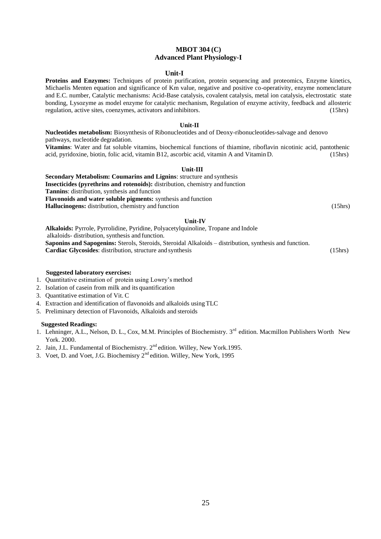# **MBOT 304 (C) Advanced Plant Physiology-I**

#### **Unit-I**

**Proteins and Enzymes:** Techniques of protein purification, protein sequencing and proteomics, Enzyme kinetics, Michaelis Menten equation and significance of Km value, negative and positive co-operativity, enzyme nomenclature and E.C. number, Catalytic mechanisms: Acid-Base catalysis, covalent catalysis, metal ion catalysis, electrostatic state bonding, Lysozyme as model enzyme for catalytic mechanism, Regulation of enzyme activity, feedback and allosteric regulation, active sites, coenzymes, activators and inhibitors. (15hrs)

#### **Unit-II**

**Nucleotides metabolism:** Biosynthesis of Ribonucleotides and of Deoxy-ribonucleotides-salvage and denovo pathways, nucleotide degradation.

**Vitamins**: Water and fat soluble vitamins, biochemical functions of thiamine, riboflavin nicotinic acid, pantothenic acid, pyridoxine, biotin, folic acid, vitamin B12, ascorbic acid, vitamin A and Vitamin D. (15hrs)

#### **Unit-III**

**Secondary Metabolism: Coumarins and Lignins**: structure and synthesis **Insecticides (pyrethrins and rotenoids):** distribution, chemistry and function **Tannins**: distribution, synthesis and function **Flavonoids and water soluble pigments:** synthesis and function **Hallucinogens:** distribution, chemistry and function (15hrs) (15hrs)

#### **Unit-IV**

**Alkaloids:** Pyrrole, Pyrrolidine, Pyridine, Polyacetylquinoline, Tropane and Indole alkaloids- distribution, synthesis and function. **Saponins and Sapogenins:** Sterols, Steroids, Steroidal Alkaloids – distribution, synthesis and function. **Cardiac Glycosides**: distribution, structure and synthesis (15hrs) (15hrs)

#### **Suggested laboratory exercises:**

- 1. Quantitative estimation of protein using Lowry's method
- 2. Isolation of casein from milk and its quantification
- 3. Quantitative estimation of Vit. C
- 4. Extraction and identification of flavonoids and alkaloids using TLC
- 5. Preliminary detection of Flavonoids, Alkaloids and steroids

- 1. Lehninger, A.L., Nelson, D. L., Cox, M.M. Principles of Biochemistry. 3<sup>rd</sup> edition. Macmillon Publishers Worth New York. 2000.
- 2. Jain, J.L. Fundamental of Biochemistry. 2<sup>nd</sup> edition. Willey, New York.1995.
- 3. Voet, D. and Voet, J.G. Biochemisry 2<sup>nd</sup> edition. Willey, New York, 1995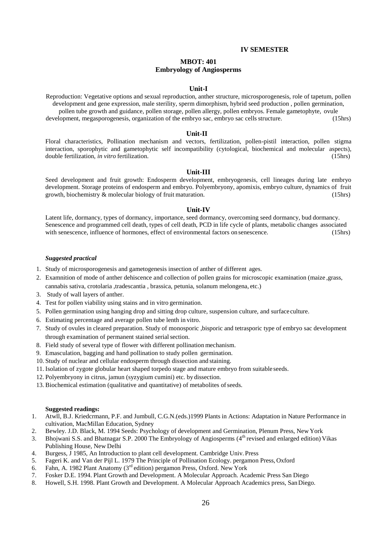## **IV SEMESTER**

# **MBOT: 401 Embryology of Angiosperms**

#### **Unit-I**

Reproduction: Vegetative options and sexual reproduction, anther structure, microsporogenesis, role of tapetum, pollen development and gene expression, male sterility, sperm dimorphism, hybrid seed production , pollen germination, pollen tube growth and guidance, pollen storage, pollen allergy, pollen embryos. Female gametophyte, ovule development, megasporogenesis, organization of the embryo sac, embryo sac cells structure. (15hrs)

#### **Unit-II**

Floral characteristics, Pollination mechanism and vectors, fertilization, pollen-pistil interaction, pollen stigma interaction, sporophytic and gametophytic self incompatibility (cytological, biochemical and molecular aspects), double fertilization, *in vitro* fertilization. (15hrs)

#### **Unit-III**

Seed development and fruit growth: Endosperm development, embryogenesis, cell lineages during late embryo development. Storage proteins of endosperm and embryo. Polyembryony, apomixis, embryo culture, dynamics of fruit growth, biochemistry & molecular biology of fruit maturation. (15hrs)

#### **Unit-IV**

Latent life, dormancy, types of dormancy, importance, seed dormancy, overcoming seed dormancy, bud dormancy. Senescence and programmed cell death, types of cell death, PCD in life cycle of plants, metabolic changes associated with senescence, influence of hormones, effect of environmental factors on senescence. (15hrs)

#### *Suggested practical*

- 1. Study of microsporogenesis and gametogenesis insection of anther of different ages.
- 2. Examnition of mode of anther dehiscence and collection of pollen grains for microscopic examination (maize ,grass, cannabis sativa, crotolaria ,tradescantia , brassica, petunia, solanum melongena, etc.)
- 3. Study of wall layers of anther.
- 4. Test for pollen viability using stains and in vitro germination.
- 5. Pollen germination using hanging drop and sitting drop culture, suspension culture, and surface culture.
- 6. Estimating percentage and average pollen tube lenth in vitro.
- 7. Study of ovules in cleared preparation. Study of monosporic ,bisporic and tetrasporic type of embryo sac development through examination of permanent stained serial section.
- 8. Field study of several type of flower with different pollination mechanism.
- 9. Emasculation, bagging and hand pollination to study pollen germination.
- 10. Study of nuclear and cellular endosperm through dissection and staining.
- 11. Isolation of zygote globular heart shaped torpedo stage and mature embryo from suitable seeds.
- 12. Polyembryony in citrus, jamun (syzygium cumini) etc. by dissection.
- 13. Biochemical estimation (qualitative and quantitative) of metabolites ofseeds.

- 1. Atwll, B.J. Kriedcrmann, P.F. and Jumbull, C.G.N.(eds.)1999 Plants in Actions: Adaptation in Nature Performance in cultivation, MacMillan Education, Sydney
- 2. Bewley. J.D. Black, M. 1994 Seeds: Psychology of development and Germination, Plenum Press, New York
- 3. Bhojwani S.S. and Bhatnagar S.P. 2000 The Embryology of Angiosperms (4<sup>th</sup> revised and enlarged edition) Vikas Publishing House, New Delhi
- 4. Burgess, J 1985, An Introduction to plant cell development. Cambridge Univ. Press
- 5. Fageri K. and Van der Pijl L. 1979 The Principle of Pollination Ecology. pergamon Press, Oxford
- 6. Fahn, A. 1982 Plant Anatomy (3rd edition) pergamon Press, Oxford. New York
- 7. Fosker D.E. 1994. Plant Growth and Development. A Molecular Approach. Academic Press San Diego
- 8. Howell, S.H. 1998. Plant Growth and Development. A Molecular Approach Academics press, SanDiego.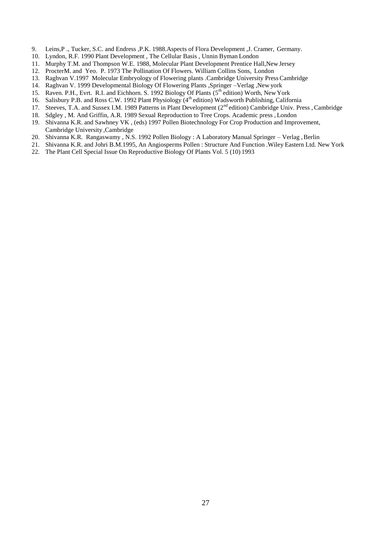- 9. Leins,P ., Tucker, S.C. and Endress ,P.K. 1988.Aspects of Flora Development ,J. Cramer, Germany.
- 10. Lyndon, R.F. 1990 Plant Development , The Cellular Basis , Unnin Byman London
- 11. Murphy T.M. and Thompson W.E. 1988, Molecular Plant Development Prentice Hall,New Jersey
- 12. ProcterM. and Yeo. P. 1973 The Pollination Of Flowers. William Collins Sons, London
- 13. Raghvan V.1997 Molecular Embryology of Flowering plants .Cambridge University PressCambridge
- 14. Raghvan V. 1999 Developmental Biology Of Flowering Plants ,Springer –Verlag ,New york
- 15. Raven. P.H., Evrt. R.I. and Eichhorn. S. 1992 Biology Of Plants (5<sup>th</sup> edition) Worth, New York
- 16. Salisbury P.B. and Ross C.W. 1992 Plant Physiology (4<sup>th</sup> edition) Wadsworth Publishing, California
- 17. Steeves, T.A. and Sussex I.M. 1989 Patterns in Plant Development (2<sup>nd</sup> edition) Cambridge Univ. Press, Cambridge
- 18. Sdgley , M. And Griffin, A.R. 1989 Sexual Reproduction to Tree Crops. Academic press , London
- 19. Shivanna K.R. and Sawhney VK , (eds) 1997 Pollen Biotechnology For Crop Production and Improvement, Cambridge University ,Cambridge
- 20. Shivanna K.R. Rangaswamy , N.S. 1992 Pollen Biology : A Laboratory Manual Springer Verlag , Berlin
- 21. Shivanna K.R. and Johri B.M.1995, An Angiosperms Pollen : Structure And Function .Wiley Eastern Ltd. New York
- 22. The Plant Cell Special Issue On Reproductive Biology Of Plants Vol. 5 (10) 1993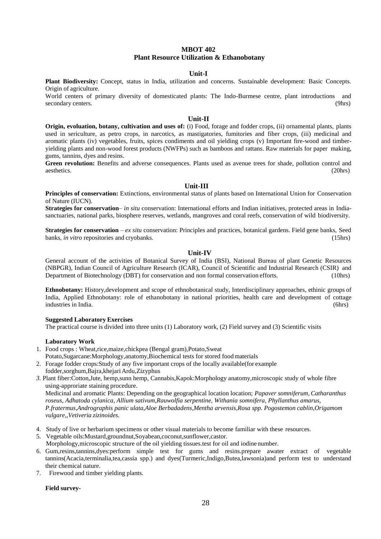# **MBOT 402 Plant Resource Utilization & Ethanobotany**

# **Unit-I**

**Plant Biodiversity:** Concept, status in India, utilization and concerns. Sustainable development: Basic Concepts. Origin of agriculture.

World centers of primary diversity of domesticated plants: The Indo-Burmese centre, plant introductions and secondary centers. (9hrs)

### **Unit-II**

**Origin, evoluation, botany, cultivation and uses of:** (i) Food, forage and fodder crops, (ii) ornamental plants, plants used in sericulture, as petro crops, in narcotics, as mastigatories, fumitories and fiber crops, (iii) medicinal and aromatic plants (iv) vegetables, fruits, spices condiments and oil yielding crops (v) Important fire-wood and timberyielding plants and non-wood forest products (NWFPs) such as bamboos and rattans. Raw materials for paper making, gums, tannins, dyes and resins.

**Green revolution:** Benefits and adverse consequences. Plants used as avenue trees for shade, pollution control and aesthetics. (20hrs)

## **Unit-III**

**Principles of conservation:** Extinctions, environmental status of plants based on International Union for Conservation of Nature (IUCN).

**Strategies for conservation**– *in situ* conservation: International efforts and Indian initiatives, protected areas in Indiasanctuaries, national parks, biosphere reserves, wetlands, mangroves and coral reefs, conservation of wild biodiversity.

**Strategies for conservation** – *ex situ* conservation: Principles and practices, botanical gardens. Field gene banks, Seed banks, *in vitro* repositories and cryobanks. (15hrs) (15hrs)

#### **Unit-IV**

General account of the activities of Botanical Survey of India (BSI), National Bureau of plant Genetic Resources (NBPGR), Indian Council of Agriculture Research (ICAR), Council of Scientific and Industrial Research (CSIR) and Department of Biotechnology (DBT) for conservation and non formal conservation efforts. (10hrs)

**Ethnobotany:** History,development and scope of ethnobotanical study, Interdisciplinary approaches, ethinic groups of India, Applied Ethnobotany: role of ethanobotany in national priorities, health care and development of cottage industries in India. (6hrs)

#### **Suggested Laboratory Exercises**

The practical course is divided into three units (1) Laboratory work, (2) Field survey and (3) Scientific visits

#### **Laboratory Work**

- 1. Food crops : Wheat,rice,maize,chickpea (Bengal gram),Potato,Sweat
	- Potato,Sugarcane:Morphology,anatomy,Biochemical tests for stored foodmaterials
- 2. Forage fodder crops:Study of any five important crops of the locally available(for example fodder,sorghum,Bajra,khejari Ardu,Zizyphus
- *3.* Plant fiber:Cotton,Jute, hemp,sunn hemp, Cannabis,Kapok:Morphology anatomy,microscopic study of whole fibre using-approriate staining procedure.

Medicinal and aromatic Plants: Depending on the geographical location location; *Papaver somniferum, Catharanthus roseus, Adhatoda cylanica, Allium sativum,Rauwolfia serpentine, Withania somnifera, Phyllanthus amarus, P.fratermus,Andrographis panic ulata,Aloe Berbadadens,Mentha arvensis,Rosa spp. Pogostemon cablin,Origamom vulgare,,Vetiveria zizinoides.*

- 4. Study of live or herbarium specimens or other visual materials to become familiar with these resources.
- 5. Vegetable oils:Mustard,groundnut,Soyabean,coconut,sunflower,castor.
- Morphology,microscopic structure of the oil yielding tissues.test for oil and iodine number.
- 6. Gum,resins,tannins,dyes:perform simple test for gums and resins.prepare awater extract of vegetable tannins(Acacia,terminalia,tea,cassia spp.) and dyes(Turmeric,Indigo,Butea,lawsonia)and perform test to understand their chemical nature.
- 7. Firewood and timber yielding plants.

#### **Field survey-**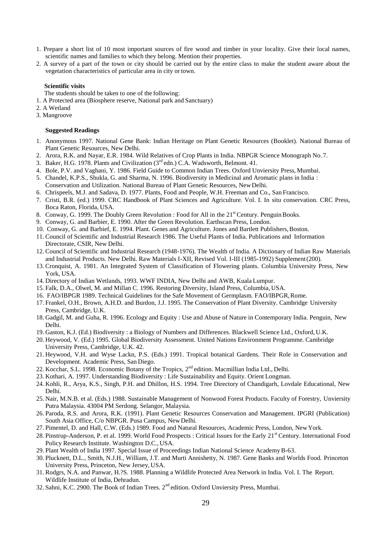- 1. Prepare a short list of 10 most important sources of fire wood and timber in your locality. Give their local names, scientific names and families to which they belong. Mention their properties.
- 2. A survey of a part of the town or city should be carried out by the entire class to make the student aware about the vegetation characteristics of particular area in city or town.

## **Scientific visits**

The students should be taken to one of the following:

- 1. A Protected area (Biosphere reserve, National park and Sanctuary)
- 2. A Wetland
- 3. Mangroove

- 1. Anonymous 1997. National Gene Bank: Indian Heritage on Plant Genetic Resources (Booklet). National Bureau of Plant Genetic Resources, New Delhi.
- 2. Arora, R.K. and Nayar, E.R. 1984. Wild Relatives of Crop Plants in India. NBPGR Science Monograph No. 7.
- 3. Baker, H.G. 1978. Plants and Civilization (3rd edn.) C.A. Wadsworth, Belmont. 41.
- 4. Bole, P.V. and Vaghani, Y. 1986. Field Guide to Common Indian Trees. Oxford Unviersity Press, Mumbai.
- 5. Chandel, K.P.S., Shukla, G. and Sharma, N. 1996. Biodiversity in Medicinal and Aromatic plans in India : Conservation and Utilization. National Bureau of Plant Genetic Resources, NewDelhi.
- 6. Chrispeels, M.J. and Sadava, D. 1977. Plants, Food and People, W.H. Freeman and Co., San Francisco.
- 7. Cristi, B.R. (ed.) 1999. CRC Handbook of Plant Sciences and Agriculture. Vol. I. In situ conservation. CRC Press, Boca Raton, Florida, USA.
- 8. Conway, G. 1999. The Doubly Green Revolution : Food for All in the 21<sup>st</sup> Century. Penguin Books.
- 9. Conway, G. and Barbier, E. 1990. After the Green Revolution. Earthscan Press, London.
- 10. Conway, G. and Barbief, E. 1994. Plant. Genes and Agriculture. Jones and Bartlett Publishers, Boston.
- 11. Council of Scientific and Industrial Research 1986. The Useful Plants of India. Publications and Information Directorate, CSIR, New Delhi.
- 12. Council of Scientific and Industrial Research (1948-1976). The Wealth of India. A Dictionary of Indian Raw Materials and Industrial Products. New Delhi. Raw Materials I-XII, Revised Vol. I-III (1985-1992) Supplement(200).
- 13. Cronquist, A. 1981. An Integrated System of Classification of Flowering plants. Columbia University Press, New York, USA.
- 14. Directory of Indian Wetlands, 1993. WWF INDIA, New Delhi and AWB, Kuala Lumpur.
- 15. Falk, D.A., Olwel, M. and Millan C. 1996. Restoring Diversity, Island Press, Columbia, USA.
- 16. FAO/IBPGR 1989. Technical Guidelines for the Safe Movement of Germplasm. FAO/IBPGR,Rome.
- 17. Frankel, O.H., Brown, A.H.D. and Burdon, J.J. 1995. The Conservation of Plant Diversity. Cambridge University Press, Cambridge, U.K.
- 18. Gadgil, M. and Guha, R. 1996. Ecology and Equity : Use and Abuse of Nature in Contemporary India. Penguin, New Delhi.
- 19. Gaston, K.J. (Ed.) Biodiversity : a Biology of Numbers and Differences. Blackwell Science Ltd., Oxford, U.K.
- 20. Heywood, V. (Ed.) 1995. Global Biodiversity Assessment. United Nations Environment Programme. Cambridge University Press, Cambridge, U.K. 42.
- 21. Heywood, V.H. and Wyse Lackn, P.S. (Eds.) 1991. Tropical botanical Gardens. Their Role in Conservation and Development. Academic Press, San Diego.
- 22. Kocchar, S.L. 1998. Economic Botany of the Tropics, 2<sup>nd</sup> edition. Macmillian India Ltd., Delhi.
- 23. Kothari, A. 1997. Understanding Biodiversity : Life Sustainability and Equity. Orient Longman.
- 24. Kohli, R., Arya, K.S., Singh, P.H. and Dhillon, H.S. 1994. Tree Directory of Chandigarh, Lovdale Educational, New Delhi.
- 25. Nair, M.N.B. et al. (Eds.) 1988. Sustainable Management of Nonwood Forest Products. Faculty of Forestry, Unviersity Putra Malaysia. 43004 PM Serdong. Selangor, Malaysia.
- 26. Paroda, R.S. and Arora, R.K. (1991). Plant Genetic Resources Conservation and Management. IPGRI (Publication) South Asia Office, C/o NBPGR. Pusa Campus, New Delhi.
- 27. Pimentel, D. and Hall, C.W. (Eds.) 1989. Food and Natural Resources, Academic Press, London, NewYork.
- 28. Pinstrup-Anderson, P. et al. 1999. World Food Prospects : Critical Issues for the Early 21<sup>st</sup> Century. International Food Policy Research Institute. Washington D.C., USA.
- 29. Plant Wealth of India 1997. Special Issue of Proceedings Indian National Science AcademyB-63.
- 30. Plucknett, D.L., Smith, N.J.H., William, J.T. and Murti Annishetty, N. 1987. Gene Banks and Worlds Food. Princeton University Press, Princeton, New Jersey, USA.
- 31. Rodgrs, N.A. and Panwar, H.?S. 1988. Planning a Wildlife Protected Area Network in India. Vol. I. The Report. Wildlife Institute of India, Dehradun.
- 32. Sahni, K.C. 2900. The Book of Indian Trees.  $2<sup>nd</sup>$  edition. Oxford Unviersity Press, Mumbai.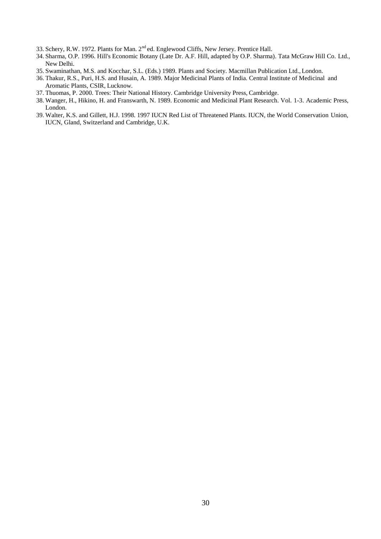- 33. Schery, R.W. 1972. Plants for Man. 2<sup>nd</sup> ed. Englewood Cliffs, New Jersey. Prentice Hall.
- 34. Sharma, O.P. 1996. Hill's Economic Botany (Late Dr. A.F. Hill, adapted by O.P. Sharma). Tata McGraw Hill Co. Ltd., New Delhi.
- 35. Swaminathan, M.S. and Kocchar, S.L. (Eds.) 1989. Plants and Society. Macmillan Publication Ltd., London.
- 36. Thakur, R.S., Puri, H.S. and Husain, A. 1989. Major Medicinal Plants of India. Central Institute of Medicinal and Aromatic Plants, CSIR, Lucknow.
- 37. Thuomas, P. 2000. Trees: Their National History. Cambridge University Press, Cambridge.
- 38. Wanger, H., Hikino, H. and Franswarth, N. 1989. Economic and Medicinal Plant Research. Vol. 1-3. Academic Press, London.
- 39. Walter, K.S. and Gillett, H.J. 1998. 1997 IUCN Red List of Threatened Plants. IUCN, the World Conservation Union, IUCN, Gland, Switzerland and Cambridge, U.K.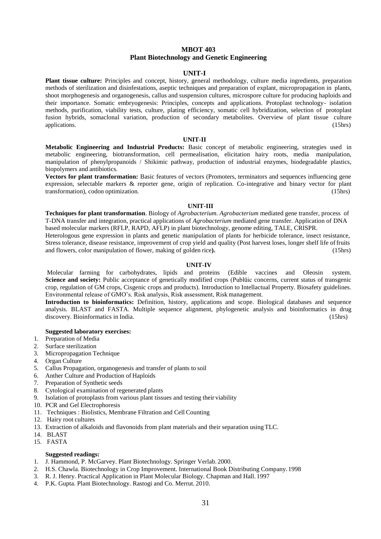# **MBOT 403 Plant Biotechnology and Genetic Engineering**

# **UNIT-I**

**Plant tissue culture:** Principles and concept, history, general methodology, culture media ingredients, preparation methods of sterilization and disinfestations, aseptic techniques and preparation of explant, micropropagation in plants, shoot morphogenesis and organogenesis, callus and suspension cultures, microspore culture for producing haploids and their importance. Somatic embryogenesis: Principles, concepts and applications. Protoplast technology- isolation methods, purification, viability tests, culture, plating efficiency, somatic cell hybridization, selection of protoplast fusion hybrids, somaclonal variation, production of secondary metabolites. Overview of plant tissue culture applications. (15hrs) (15hrs)

#### **UNIT-II**

**Metabolic Engineering and Industrial Products:** Basic concept of metabolic engineering, strategies used in metabolic engineering, biotransformation, cell permealisation, elicitation hairy roots, media manipulation, manipulation of phenylpropanoids / Shikimic pathway, production of industrial enzymes, biodegradable plastics, biopolymers and antibiotics.

**Vectors for plant transformation:** Basic features of vectors (Promoters, terminators and sequences influencing gene expression, selectable markers & reporter gene, origin of replication. Co-integrative and binary vector for plant transformation), codon optimization. (15hrs)

#### **UNIT-III**

**Techniques for plant transformation**. Biology of *Agrobacterium. Agrobacterium* mediated gene transfer, process of T-DNA transfer and integration, practical applications of *Agrobacterium* mediated gene transfer. Application of DNA

based molecular markers (RFLP, RAPD, AFLP) in plant biotechnology, genome editing, TALE, CRISPR. Heterologous gene expression in plants and genetic manipulation of plants for herbicide tolerance, insect resistance,

Stress tolerance, disease resistance, improvement of crop yield and quality (Post harvest loses, longer shelf life offruits and flowers, color manipulation of flower, making of golden rice**).** (15hrs)

## **UNIT-IV**

Molecular farming for carbohydrates, lipids and proteins (Edible vaccines and Oleosin system. **Science and society:** Public acceptance of genetically modified crops (Publūic concerns, current status of transgenic crop, regulation of GM crops, Cisgenic crops and products). Introduction to Intellactual Property. Biosafety guidelines. Environmental release of GMO's. Risk analysis, Risk assessment, Risk management.

**Introduction to bioinformatics:** Definition, history, applications and scope. Biological databases and sequence analysis. BLAST and FASTA. Multiple sequence alignment, phylogenetic analysis and bioinformatics in drug discovery. Bioinformatics in India. (15hrs)

#### **Suggested laboratory exercises:**

- 1. Preparation of Media
- 2. Surface sterilization
- 3. Micropropagation Technique
- 4. Organ Culture
- 5. Callus Propagation, organogenesis and transfer of plants to soil
- 6. Anther Culture and Production of Haploids
- 7. Preparation of Synthetic seeds
- 8. Cytological examination of regenerated plants
- 9. Isolation of protoplasts from various plant tissues and testing their viability
- 10. PCR and Gel Electrophoresis
- 11. Techniques : Biolistics, Membrane Filtration and Cell Counting
- 12. Hairy root cultures
- 13. Extraction of alkaloids and flavonoids from plant materials and their separation usingTLC.
- 14. BLAST
- 15. FASTA

- 1. J. Hammond, P. McGarvey. Plant Biotechnology. Springer Verlab. 2000.
- 2. H.S. Chawla. Biotechnology in Crop Improvement. International Book Distributing Company. 1998
- 3. R. J. Henry. Practical Application in Plant Molecular Biology. Chapman and Hall. 1997
- 4. P.K. Gupta. Plant Biotechnology. Rastogi and Co. Merrut. 2010.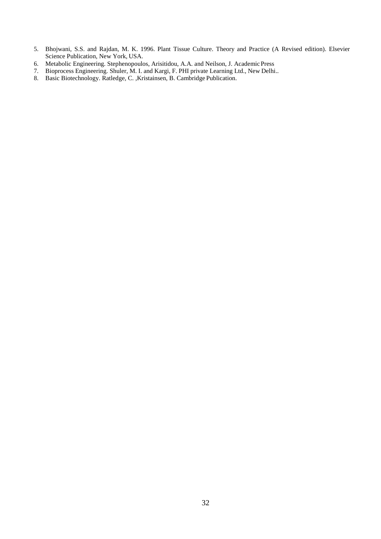- 5. Bhojwani, S.S. and Rajdan, M. K. 1996. Plant Tissue Culture. Theory and Practice (A Revised edition). Elsevier Science Publication, New York, USA.
- 6. Metabolic Engineering. Stephenopoulos, Arisitidou, A.A. and Neilson, J. AcademicPress
- 7. Bioprocess Engineering. Shuler, M. I. and Kargi, F. PHI private Learning Ltd., New Delhi..
- 8. Basic Biotechnology. Ratledge, C. ,Kristainsen, B. Cambridge Publication.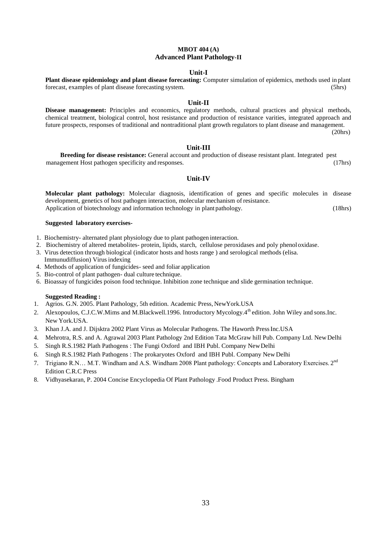# **MBOT 404 (A) Advanced Plant Pathology-II**

## **Unit-I**

**Plant disease epidemiology and plant disease forecasting:** Computer simulation of epidemics, methods used in plant forecast, examples of plant disease forecasting system. (5hrs)

# **Unit-II**

**Disease management:** Principles and economics, regulatory methods, cultural practices and physical methods, chemical treatment, biological control, host resistance and production of resistance varities, integrated approach and future prospects, responses of traditional and nontraditional plant growth regulators to plant disease and management.

(20hrs)

## **Unit-III**

**Breeding for disease resistance:** General account and production of disease resistant plant. Integrated pest management Host pathogen specificity and responses. (17hrs) (17hrs)

# **Unit-IV**

**Molecular plant pathology:** Molecular diagnosis, identification of genes and specific molecules in disease development, genetics of host pathogen interaction, molecular mechanism of resistance. Application of biotechnology and information technology in plant pathology. (18hrs)

## **Suggested laboratory exercises-**

- 1. Biochemistry- alternated plant physiology due to plant pathogen interaction.
- 2. Biochemistry of altered metabolites- protein, lipids, starch, cellulose peroxidases and poly phenoloxidase.
- 3. Virus detection through biological (indicator hosts and hosts range ) and serological methods (elisa.
- Immunudiffusion) Virusindexing
- 4. Methods of application of fungicides- seed and foliar application
- 5. Bio-control of plant pathogen- dual culture technique.
- 6. Bioassay of fungicides poison food technique. Inhibition zone technique and slide germination technique.

- 1. Agrios. G.N. 2005. Plant Pathology, 5th edition. Academic Press, NewYork.USA
- 2. Alexopoulos, C.J.C.W.Mims and M.Blackwell.1996. Introductory Mycology.4<sup>th</sup> edition. John Wiley and sons.Inc. New York.USA.
- 3. Khan J.A. and J. Dijsktra 2002 Plant Virus as Molecular Pathogens. The Haworth Press Inc.USA
- 4. Mehrotra, R.S. and A. Agrawal 2003 Plant Pathology 2nd Edition Tata McGraw hill Pub. Company Ltd. New Delhi
- 5. Singh R.S.1982 Plath Pathogens : The Fungi Oxford and IBH Publ. Company NewDelhi
- 6. Singh R.S.1982 Plath Pathogens : The prokaryotes Oxford and IBH Publ. Company New Delhi
- 7. Trigiano R.N... M.T. Windham and A.S. Windham 2008 Plant pathology: Concepts and Laboratory Exercises. 2<sup>nd</sup> Edition C.R.C Press
- 8. Vidhyasekaran, P. 2004 Concise Encyclopedia Of Plant Pathology .Food Product Press. Bingham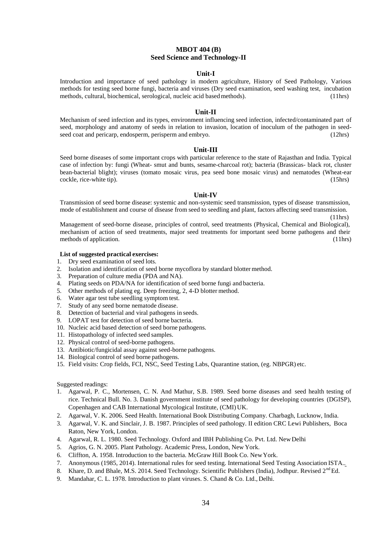# **MBOT 404 (B) Seed Science and Technology-II**

# **Unit-I**

Introduction and importance of seed pathology in modern agriculture, History of Seed Pathology, Various methods for testing seed borne fungi, bacteria and viruses (Dry seed examination, seed washing test, incubation methods, cultural, biochemical, serological, nucleic acid based methods). (11hrs) methods, cultural, biochemical, serological, nucleic acid based methods).

#### **Unit-II**

Mechanism of seed infection and its types, environment influencing seed infection, infected/contaminated part of seed, morphology and anatomy of seeds in relation to invasion, location of inoculum of the pathogen in seedseed coat and pericarp, endosperm, perisperm and embryo. (12hrs) (12hrs)

#### **Unit-III**

Seed borne diseases of some important crops with particular reference to the state of Rajasthan and India. Typical case of infection by: fungi (Wheat- smut and bunts, sesame-charcoal rot); bacteria (Brassicas- black rot, cluster bean-bacterial blight); viruses (tomato mosaic virus, pea seed bone mosaic virus) and nematodes (Wheat-ear cockle, rice-white tip). (15hrs)

### **Unit-IV**

Transmission of seed borne disease: systemic and non-systemic seed transmission, types of disease transmission, mode of establishment and course of disease from seed to seedling and plant, factors affecting seed transmission.

 $(11hrs)$ 

Management of seed-borne disease, principles of control, seed treatments (Physical, Chemical and Biological), mechanism of action of seed treatments, major seed treatments for important seed borne pathogens and their methods of application. (11hrs)

#### **List of suggested practical exercises:**

- 1. Dry seed examination of seed lots.
- 2. Isolation and identification of seed borne mycoflora by standard blottermethod.
- 3. Preparation of culture media (PDA and NA).
- 4. Plating seeds on PDA/NA for identification of seed borne fungi and bacteria.
- 5. Other methods of plating eg. Deep freezing, 2, 4-D blotter method.
- 6. Water agar test tube seedling symptom test.
- 7. Study of any seed borne nematode disease.
- 8. Detection of bacterial and viral pathogens in seeds.
- 9. LOPAT test for detection of seed borne bacteria.
- 10. Nucleic acid based detection of seed borne pathogens.
- 11. Histopathology of infected seed samples.
- 12. Physical control of seed-borne pathogens.
- 13. Antibiotic/fungicidal assay against seed-borne pathogens.
- 14. Biological control of seed borne pathogens.
- 15. Field visits: Crop fields, FCI, NSC, Seed Testing Labs, Quarantine station, (eg. NBPGR) etc.

- 1. Agarwal, P. C., Mortensen, C. N. And Mathur, S.B. 1989. Seed borne diseases and seed health testing of rice. Technical Bull. No. 3. Danish government institute of seed pathology for developing countries (DGISP), Copenhagen and CAB International Mycological Institute, (CMI) UK.
- 2. Agarwal, V. K. 2006. Seed Health. International Book Distributing Company. Charbagh, Lucknow, India.
- 3. Agarwal, V. K. and Sinclair, J. B. 1987. Principles of seed pathology. II edition CRC Lewi Publishers, Boca Raton, New York, London.
- 4. Agarwal, R. L. 1980. Seed Technology. Oxford and IBH Publishing Co. Pvt. Ltd. NewDelhi
- 5. Agrios, G. N. 2005. Plant Pathology. Academic Press, London, New York.
- 6. Cliffton, A. 1958. Introduction to the bacteria. McGraw Hill Book Co. NewYork.
- 7. Anonymous (1985, 2014). International rules for seed testing. International Seed Testing Association ISTA..
- 8. Khare, D. and Bhale, M.S. 2014. Seed Technology. Scientific Publishers (India), Jodhpur. Revised 2<sup>nd</sup> Ed.
- 9. Mandahar, C. L. 1978. Introduction to plant viruses. S. Chand & Co. Ltd., Delhi.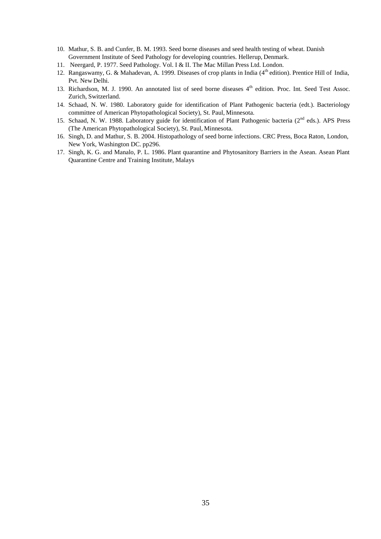- 10. Mathur, S. B. and Cunfer, B. M. 1993. Seed borne diseases and seed health testing of wheat. Danish Government Institute of Seed Pathology for developing countries. Hellerup, Denmark.
- 11. Neergard, P. 1977. Seed Pathology. Vol. I & II. The Mac Millan Press Ltd. London.
- 12. Rangaswamy, G. & Mahadevan, A. 1999. Diseases of crop plants in India (4<sup>th</sup> edition). Prentice Hill of India, Pvt. New Delhi.
- 13. Richardson, M. J. 1990. An annotated list of seed borne diseases 4<sup>th</sup> edition. Proc. Int. Seed Test Assoc. Zurich, Switzerland.
- 14. Schaad, N. W. 1980. Laboratory guide for identification of Plant Pathogenic bacteria (edt.). Bacteriology committee of American Phytopathological Society), St. Paul, Minnesota.
- 15. Schaad, N. W. 1988. Laboratory guide for identification of Plant Pathogenic bacteria (2<sup>nd</sup> eds.). APS Press (The American Phytopathological Society), St. Paul, Minnesota.
- 16. Singh, D. and Mathur, S. B. 2004. Histopathology of seed borne infections. CRC Press, Boca Raton, London, New York, Washington DC. pp296.
- 17. Singh, K. G. and Manalo, P. L. 1986. Plant quarantine and Phytosanitory Barriers in the Asean. Asean Plant Quarantine Centre and Training Institute, Malays